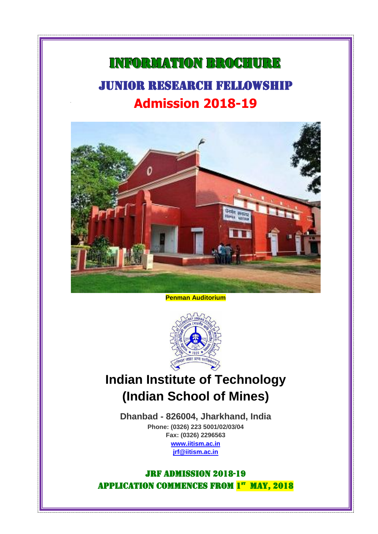# INFORMATION BROCHURE JUNIOR RESEARCH FELLOWSHIP **Admission 2018-19**

Ī



**Penman Auditorium**



**Indian Institute of Technology (Indian School of Mines)**

**Dhanbad - 826004, Jharkhand, India Phone: (0326) 223 5001/02/03/04 Fax: (0326) 2296563 [www.iitism.ac.in](http://www.iitism.ac.in/) [jrf@iitism.ac.in](mailto:jrf@iitism.ac.in)**

## JRF Admission 2018-19 APPLICATION COMMENCES FROM 1st MAY, 2018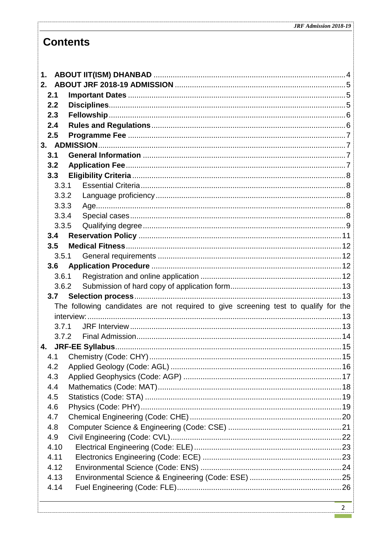# **Contents**

| 1.    |                                                                                     |  |
|-------|-------------------------------------------------------------------------------------|--|
| 2.    |                                                                                     |  |
| 2.1   |                                                                                     |  |
| 2.2   |                                                                                     |  |
| 2.3   |                                                                                     |  |
| 2.4   |                                                                                     |  |
| 2.5   |                                                                                     |  |
|       |                                                                                     |  |
| 3.1   |                                                                                     |  |
| 3.2   |                                                                                     |  |
| 3.3   |                                                                                     |  |
| 3.3.1 |                                                                                     |  |
| 3.3.2 |                                                                                     |  |
| 3.3.3 |                                                                                     |  |
| 3.3.4 |                                                                                     |  |
| 3.3.5 |                                                                                     |  |
|       |                                                                                     |  |
| 3.5   |                                                                                     |  |
|       | 3.5.1                                                                               |  |
| 3.6   |                                                                                     |  |
| 3.6.1 |                                                                                     |  |
| 3.6.2 |                                                                                     |  |
| 3.7   |                                                                                     |  |
|       | The following candidates are not required to give screening test to qualify for the |  |
|       |                                                                                     |  |
| 3.7.1 |                                                                                     |  |
| 3.7.2 |                                                                                     |  |
| 4.    |                                                                                     |  |
| 4.1   |                                                                                     |  |
| 4.2   |                                                                                     |  |
| 4.3   |                                                                                     |  |
| 4.4   |                                                                                     |  |
| 4.5   |                                                                                     |  |
| 4.6   |                                                                                     |  |
| 4.7   |                                                                                     |  |
| 4.8   |                                                                                     |  |
| 4.9   |                                                                                     |  |
| 4.10  |                                                                                     |  |
| 4.11  |                                                                                     |  |
|       |                                                                                     |  |
| 4.12  |                                                                                     |  |
| 4.13  |                                                                                     |  |
| 4.14  |                                                                                     |  |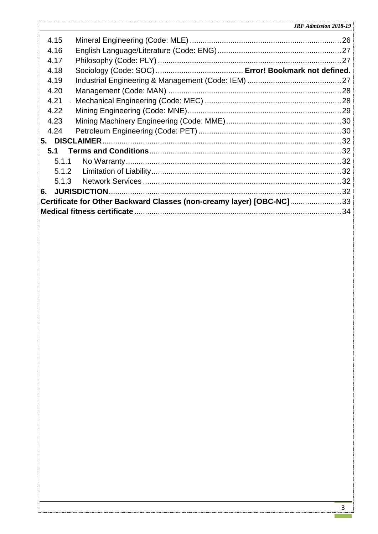|    | 4.15  |                                                                      |  |
|----|-------|----------------------------------------------------------------------|--|
|    | 4.16  |                                                                      |  |
|    | 4.17  |                                                                      |  |
|    | 4.18  |                                                                      |  |
|    | 4.19  |                                                                      |  |
|    | 4.20  |                                                                      |  |
|    | 4.21  |                                                                      |  |
|    | 4.22  |                                                                      |  |
|    | 4.23  |                                                                      |  |
|    | 4.24  |                                                                      |  |
|    |       |                                                                      |  |
|    | 5.1   |                                                                      |  |
|    | 5.1.1 |                                                                      |  |
|    |       |                                                                      |  |
|    |       |                                                                      |  |
| 6. |       |                                                                      |  |
|    |       | Certificate for Other Backward Classes (non-creamy layer) [OBC-NC]33 |  |
|    |       |                                                                      |  |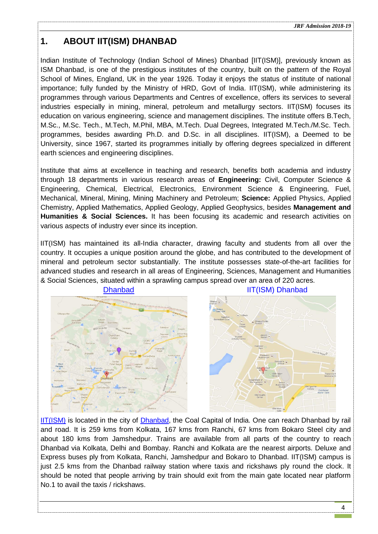## <span id="page-3-0"></span>**1. ABOUT IIT(ISM) DHANBAD**

Indian Institute of Technology (Indian School of Mines) Dhanbad [IIT(ISM)], previously known as ISM Dhanbad, is one of the prestigious institutes of the country, built on the pattern of the Royal School of Mines, England, UK in the year 1926. Today it enjoys the status of institute of national importance; fully funded by the Ministry of HRD, Govt of India. IIT(ISM), while administering its programmes through various Departments and Centres of excellence, offers its services to several industries especially in mining, mineral, petroleum and metallurgy sectors. IIT(ISM) focuses its education on various engineering, science and management disciplines. The institute offers B.Tech, M.Sc., M.Sc. Tech., M.Tech, M.Phil, MBA, M.Tech. Dual Degrees, Integrated M.Tech./M.Sc. Tech. programmes, besides awarding Ph.D. and D.Sc. in all disciplines. IIT(ISM), a Deemed to be University, since 1967, started its programmes initially by offering degrees specialized in different earth sciences and engineering disciplines.

Institute that aims at excellence in teaching and research, benefits both academia and industry through 18 departments in various research areas of **Engineering:** Civil, Computer Science & Engineering, Chemical, Electrical, Electronics, Environment Science & Engineering, Fuel, Mechanical, Mineral, Mining, Mining Machinery and Petroleum; **Science:** Applied Physics, Applied Chemistry, Applied Mathematics, Applied Geology, Applied Geophysics, besides **Management and Humanities & Social Sciences.** It has been focusing its academic and research activities on various aspects of industry ever since its inception.

IIT(ISM) has maintained its all-India character, drawing faculty and students from all over the country. It occupies a unique position around the globe, and has contributed to the development of mineral and petroleum sector substantially. The institute possesses state-of-the-art facilities for advanced studies and research in all areas of Engineering, Sciences, Management and Humanities & Social Sciences, situated within a sprawling campus spread over an area of 220 acres.





[IIT\(ISM\)](https://maps.google.co.in/maps?q=ism+dhanbad&hl=en&geocode=+&hq=ism+dhanbad&radius=15000&t=m&z=17&iwloc=A) is located in the city of [Dhanbad,](https://maps.google.co.in/maps?q=dhnbad&hl=en&ll=23.800738,86.44146&spn=0.110101,0.198269&sll=22.43134,83.62793&sspn=14.206053,25.378418&hnear=Dhanbad,+Jharkhand&t=m&z=13) the Coal Capital of India. One can reach Dhanbad by rail and road. It is 259 kms from Kolkata, 167 kms from Ranchi, 67 kms from Bokaro Steel city and about 180 kms from Jamshedpur. Trains are available from all parts of the country to reach Dhanbad via Kolkata, Delhi and Bombay. Ranchi and Kolkata are the nearest airports. Deluxe and Express buses ply from Kolkata, Ranchi, Jamshedpur and Bokaro to Dhanbad. IIT(ISM) campus is just 2.5 kms from the Dhanbad railway station where taxis and rickshaws ply round the clock. It should be noted that people arriving by train should exit from the main gate located near platform No.1 to avail the taxis / rickshaws.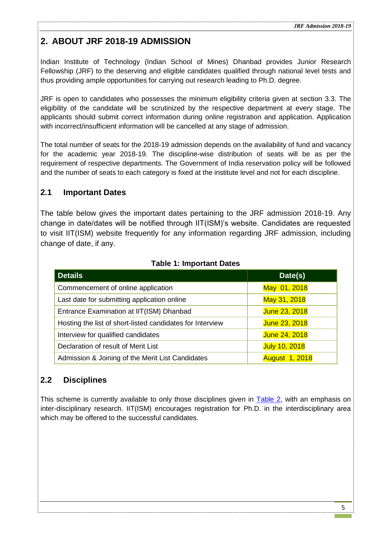## <span id="page-4-0"></span>**2. ABOUT JRF 2018-19 ADMISSION**

Indian Institute of Technology (Indian School of Mines) Dhanbad provides Junior Research Fellowship (JRF) to the deserving and eligible candidates qualified through national level tests and thus providing ample opportunities for carrying out research leading to Ph.D. degree.

JRF is open to candidates who possesses the minimum eligibility criteria given at section [3.3.](#page-7-0) The eligibility of the candidate will be scrutinized by the respective department at every stage. The applicants should submit correct information during online registration and application. Application with incorrect/insufficient information will be cancelled at any stage of admission.

The total number of seats for the 2018-19 admission depends on the availability of fund and vacancy for the academic year 2018-19. The discipline-wise distribution of seats will be as per the requirement of respective departments. The Government of India reservation policy will be followed and the number of seats to each category is fixed at the institute level and not for each discipline.

## <span id="page-4-1"></span>**2.1 Important Dates**

The table below gives the important dates pertaining to the JRF admission 2018-19. Any change in date/dates will be notified through IIT(ISM)'s website. Candidates are requested to visit IIT(ISM) website frequently for any information regarding JRF admission, including change of date, if any.

| <b>Details</b>                                            | Date(s)               |
|-----------------------------------------------------------|-----------------------|
| Commencement of online application                        | May 01, 2018          |
| Last date for submitting application online               | May 31, 2018          |
| Entrance Examination at IIT(ISM) Dhanbad                  | June 23, 2018         |
| Hosting the list of short-listed candidates for Interview | June 23, 2018         |
| Interview for qualified candidates                        | June 24, 2018         |
| Declaration of result of Merit List                       | <b>July 10, 2018</b>  |
| Admission & Joining of the Merit List Candidates          | <b>August 1, 2018</b> |

## **Table 1: Important Dates**

## <span id="page-4-2"></span>**2.2 Disciplines**

This scheme is currently available to only those disciplines given in [Table 2,](#page-5-2) with an emphasis on inter-disciplinary research. IIT(ISM) encourages registration for Ph.D. in the interdisciplinary area which may be offered to the successful candidates.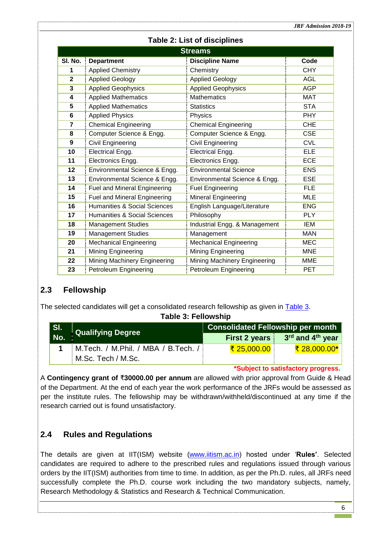| <b>Streams</b>                           |                                         |                               |            |  |  |
|------------------------------------------|-----------------------------------------|-------------------------------|------------|--|--|
| SI. No.                                  | <b>Department</b>                       | <b>Discipline Name</b>        | Code       |  |  |
| 1                                        | <b>Applied Chemistry</b>                | Chemistry                     | <b>CHY</b> |  |  |
| $\overline{2}$<br><b>Applied Geology</b> |                                         | <b>Applied Geology</b>        | <b>AGL</b> |  |  |
| 3                                        | <b>Applied Geophysics</b>               | <b>Applied Geophysics</b>     | <b>AGP</b> |  |  |
| 4                                        | <b>Applied Mathematics</b>              | <b>Mathematics</b>            | <b>MAT</b> |  |  |
| 5                                        | <b>Applied Mathematics</b>              | <b>Statistics</b>             | <b>STA</b> |  |  |
| 6                                        | <b>Applied Physics</b>                  | Physics                       | <b>PHY</b> |  |  |
| $\overline{7}$                           | <b>Chemical Engineering</b>             | <b>Chemical Engineering</b>   | <b>CHE</b> |  |  |
| 8                                        | Computer Science & Engg.                | Computer Science & Engg.      | <b>CSE</b> |  |  |
| 9                                        | <b>Civil Engineering</b>                | Civil Engineering             | <b>CVL</b> |  |  |
| 10                                       | Electrical Engg.                        | Electrical Engg.              | <b>ELE</b> |  |  |
| 11                                       | Electronics Engg.                       | Electronics Engg.             | <b>ECE</b> |  |  |
| 12                                       | Environmental Science & Engg.           | <b>Environmental Science</b>  | <b>ENS</b> |  |  |
| 13<br>Environmental Science & Engg.      |                                         | Environmental Science & Engg. | <b>ESE</b> |  |  |
| 14                                       | <b>Fuel and Mineral Engineering</b>     | <b>Fuel Engineering</b>       | <b>FLE</b> |  |  |
| 15                                       | <b>Fuel and Mineral Engineering</b>     | Mineral Engineering           | <b>MLE</b> |  |  |
| 16                                       | <b>Humanities &amp; Social Sciences</b> | English Language/Literature   | <b>ENG</b> |  |  |
| 17                                       | <b>Humanities &amp; Social Sciences</b> | Philosophy                    | <b>PLY</b> |  |  |
| 18                                       | <b>Management Studies</b>               | Industrial Engg. & Management | <b>IEM</b> |  |  |
| 19                                       | <b>Management Studies</b>               | Management                    | <b>MAN</b> |  |  |
| 20                                       | <b>Mechanical Engineering</b>           | Mechanical Engineering        | <b>MEC</b> |  |  |
| 21                                       | <b>Mining Engineering</b>               | Mining Engineering            | <b>MNE</b> |  |  |
| 22                                       | Mining Machinery Engineering            | Mining Machinery Engineering  | <b>MME</b> |  |  |
| 23                                       | <b>Petroleum Engineering</b>            | Petroleum Engineering         | <b>PET</b> |  |  |

### **Table 2: List of disciplines**

## <span id="page-5-0"></span>**2.3 Fellowship**

<span id="page-5-2"></span>The selected candidates will get a consolidated research fellowship as given in [Table 3.](#page-5-2)

**Table 3: Fellowship**

| SI.<br>No. | Qualifying Degree                   | <b>Consolidated Fellowship per month</b> |                                              |
|------------|-------------------------------------|------------------------------------------|----------------------------------------------|
|            |                                     |                                          | First 2 years $3rd$ and 4 <sup>th</sup> year |
|            | M.Tech. / M.Phil. / MBA / B.Tech. / | <u>₹ 25,000.00</u> ∣                     | <u>₹ 28,000.00*</u>                          |
|            | M.Sc. Tech / M.Sc.                  |                                          |                                              |

**\*Subject to satisfactory progress.**

A **Contingency grant of** ₹**30000.00 per annum** are allowed with prior approval from Guide & Head of the Department. At the end of each year the work performance of the JRFs would be assessed as per the institute rules. The fellowship may be withdrawn/withheld/discontinued at any time if the research carried out is found unsatisfactory.

## <span id="page-5-1"></span>**2.4 Rules and Regulations**

The details are given at IIT(ISM) website [\(www.iitism.ac.in\)](http://www.ismdhanbad.ac.in/) hosted under '**Rules'**. Selected candidates are required to adhere to the prescribed rules and regulations issued through various orders by the IIT(ISM) authorities from time to time. In addition, as per the Ph.D. rules, all JRFs need successfully complete the Ph.D. course work including the two mandatory subjects, namely, Research Methodology & Statistics and Research & Technical Communication.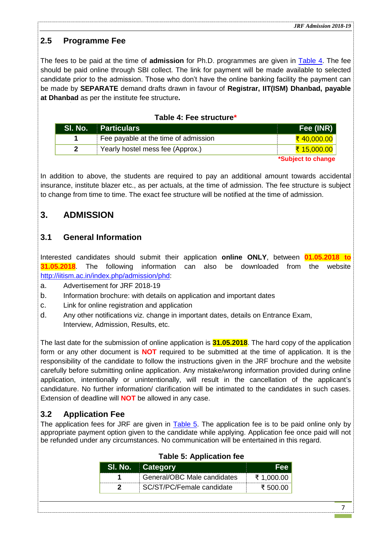## <span id="page-6-0"></span>**2.5 Programme Fee**

The fees to be paid at the time of **admission** for Ph.D. programmes are given in [Table 4.](#page-6-4) The fee should be paid online through SBI collect. The link for payment will be made available to selected candidate prior to the admission. Those who don't have the online banking facility the payment can be made by **SEPARATE** demand drafts drawn in favour of **Registrar, IIT(ISM) Dhanbad, payable at Dhanbad** as per the institute fee structure**.**

## **Table 4: Fee structure\***

<span id="page-6-4"></span>

| SI. No. | <b>Particulars</b>                   | Fee (INR)              |
|---------|--------------------------------------|------------------------|
|         | Fee payable at the time of admission | <del>₹ 40,000.00</del> |
|         | Yearly hostel mess fee (Approx.)     | <u>₹ 15,000.00</u>     |
|         |                                      | *Subject to change     |

In addition to above, the students are required to pay an additional amount towards accidental insurance, institute blazer etc., as per actuals, at the time of admission. The fee structure is subject to change from time to time. The exact fee structure will be notified at the time of admission.

## <span id="page-6-1"></span>**3. ADMISSION**

## <span id="page-6-2"></span>**3.1 General Information**

Interested candidates should submit their application **online ONLY**, between **01.05.2018 to 31.05.2018**. The following information can also be downloaded from the website [http://iitism.ac.in/index.php/admission/phd:](http://www.ismdhanbad.ac.in/phd-jrf)

- a. Advertisement for JRF 2018-19
- b. Information brochure: with details on application and important dates
- c. Link for online registration and application
- d. Any other notifications viz. change in important dates, details on Entrance Exam, Interview, Admission, Results, etc.

The last date for the submission of online application is **31.05.2018**. The hard copy of the application form or any other document is **NOT** required to be submitted at the time of application. It is the responsibility of the candidate to follow the instructions given in the JRF brochure and the website carefully before submitting online application. Any mistake/wrong information provided during online application, intentionally or unintentionally, will result in the cancellation of the applicant's candidature. No further information/ clarification will be intimated to the candidates in such cases. Extension of deadline will **NOT** be allowed in any case.

## <span id="page-6-3"></span>**3.2 Application Fee**

<span id="page-6-5"></span>The application fees for JRF are given in [Table 5.](#page-6-5) The application fee is to be paid online only by appropriate payment option given to the candidate while applying. Application fee once paid will not be refunded under any circumstances. No communication will be entertained in this regard.

| -SI. No. | ⊟Category                   |            |
|----------|-----------------------------|------------|
|          | General/OBC Male candidates | ₹ 1,000.00 |
|          | SC/ST/PC/Female candidate   | י י∩ טטל ⊁ |

## **Table 5: Application fee**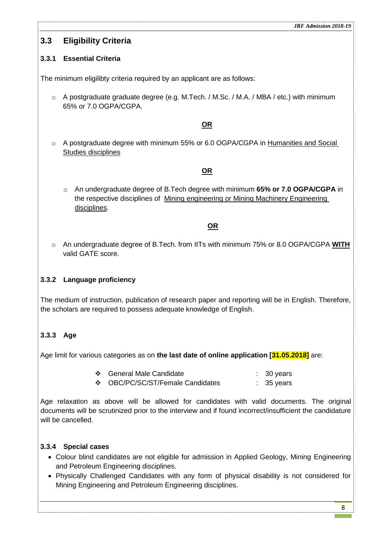## <span id="page-7-0"></span>**3.3 Eligibility Criteria**

## <span id="page-7-1"></span>**3.3.1 Essential Criteria**

The minimum eligilibty criteria required by an applicant are as follows:

o A postgraduate graduate degree (e.g. M.Tech. / M.Sc. / M.A. / MBA / etc.) with minimum 65% or 7.0 OGPA/CGPA.

## **OR**

o A postgraduate degree with minimum 55% or 6.0 OGPA/CGPA in Humanities and Social Studies disciplines

### **OR**

o An undergraduate degree of B.Tech degree with minimum **65% or 7.0 OGPA/CGPA** in the respective disciplines of Mining engineering or Mining Machinery Engineering disciplines.

### **OR**

o An undergraduate degree of B.Tech. from IITs with minimum 75% or 8.0 OGPA/CGPA **WITH** valid GATE score.

## <span id="page-7-2"></span>**3.3.2 Language proficiency**

The medium of instruction, publication of research paper and reporting will be in English. Therefore, the scholars are required to possess adequate knowledge of English.

## <span id="page-7-3"></span>**3.3.3 Age**

Age limit for various categories as on **the last date of online application [31.05.2018]** are:

- ◆ General Male Candidate : 30 years
- ◆ OBC/PC/SC/ST/Female Candidates : 35 years

Age relaxation as above will be allowed for candidates with valid documents. The original documents will be scrutinized prior to the interview and if found incorrect/insufficient the candidature will be cancelled.

## <span id="page-7-4"></span>**3.3.4 Special cases**

- Colour blind candidates are not eligible for admission in Applied Geology, Mining Engineering and Petroleum Engineering disciplines.
- Physically Challenged Candidates with any form of physical disability is not considered for Mining Engineering and Petroleum Engineering disciplines.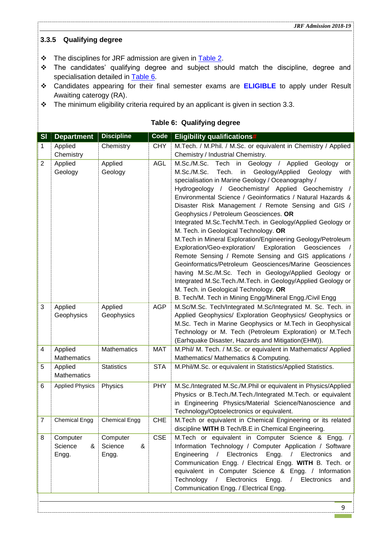### <span id="page-8-0"></span>**3.3.5 Qualifying degree**

- The disciplines for JRF admission are given in [Table 2.](#page-5-2)
- \* The candidates' qualifying degree and subject should match the discipline, degree and specialisation detailed in **Table 6**.
- Candidates appearing for their final semester exams are **ELIGIBLE** to apply under Result Awaiting caterogy (RA).
- $\cdot \cdot$  The minimum eligibility criteria required by an applicant is given in section [3.3.](#page-7-0)

<span id="page-8-1"></span>

| SI             | <b>Department</b>                 | <b>Discipline</b>                 | Code       | <b>Eligibility qualifications#</b>                                                                                                                                                                                                                                                                                                                                                                                                                                                                                                                                                                                                                                                                                                                                                                                                                                                                                                                                                      |
|----------------|-----------------------------------|-----------------------------------|------------|-----------------------------------------------------------------------------------------------------------------------------------------------------------------------------------------------------------------------------------------------------------------------------------------------------------------------------------------------------------------------------------------------------------------------------------------------------------------------------------------------------------------------------------------------------------------------------------------------------------------------------------------------------------------------------------------------------------------------------------------------------------------------------------------------------------------------------------------------------------------------------------------------------------------------------------------------------------------------------------------|
| 1              | Applied                           | Chemistry                         | <b>CHY</b> | M.Tech. / M.Phil. / M.Sc. or equivalent in Chemistry / Applied                                                                                                                                                                                                                                                                                                                                                                                                                                                                                                                                                                                                                                                                                                                                                                                                                                                                                                                          |
|                | Chemistry                         |                                   |            | Chemistry / Industrial Chemistry.                                                                                                                                                                                                                                                                                                                                                                                                                                                                                                                                                                                                                                                                                                                                                                                                                                                                                                                                                       |
| $\overline{2}$ | Applied<br>Geology                | Applied<br>Geology                | <b>AGL</b> | M.Sc./M.Sc.<br>Tech in Geology /<br>Applied<br>Geology<br>or<br>Tech. in Geology/Applied<br>M.Sc./M.Sc.<br>Geology<br>with<br>specialisation in Marine Geology / Oceanography /<br>Hydrogeology / Geochemistry/ Applied Geochemistry /<br>Environmental Science / Geoinformatics / Natural Hazards &<br>Disaster Risk Management / Remote Sensing and GIS /<br>Geophysics / Petroleum Geosciences. OR<br>Integrated M.Sc.Tech/M.Tech. in Geology/Applied Geology or<br>M. Tech. in Geological Technology. OR<br>M.Tech in Mineral Exploration/Engineering Geology/Petroleum<br>Exploration/Geo-exploration/ Exploration<br>Geosciences<br>Remote Sensing / Remote Sensing and GIS applications /<br>Geoinformatics/Petroleum Geosciences/Marine Geosciences<br>having M.Sc./M.Sc. Tech in Geology/Applied Geology or<br>Integrated M.Sc.Tech./M.Tech. in Geology/Applied Geology or<br>M. Tech. in Geological Technology. OR<br>B. Tech/M. Tech in Mining Engg/Mineral Engg./Civil Engg |
| 3              | Applied<br>Geophysics             | Applied<br>Geophysics             | <b>AGP</b> | M.Sc/M.Sc. Tech/Integrated M.Sc/Integrated M. Sc. Tech. in<br>Applied Geophysics/ Exploration Geophysics/ Geophysics or<br>M.Sc. Tech in Marine Geophysics or M.Tech in Geophysical<br>Technology or M. Tech (Petroleum Exploration) or M.Tech<br>(Earhquake Disaster, Hazards and Mitigation(EHM)).                                                                                                                                                                                                                                                                                                                                                                                                                                                                                                                                                                                                                                                                                    |
| 4              | Applied<br>Mathematics            | <b>Mathematics</b>                | <b>MAT</b> | M.Phil/ M. Tech. / M.Sc. or equivalent in Mathematics/ Applied<br>Mathematics/ Mathematics & Computing.                                                                                                                                                                                                                                                                                                                                                                                                                                                                                                                                                                                                                                                                                                                                                                                                                                                                                 |
| 5              | Applied<br>Mathematics            | <b>Statistics</b>                 | <b>STA</b> | M.Phil/M.Sc. or equivalent in Statistics/Applied Statistics.                                                                                                                                                                                                                                                                                                                                                                                                                                                                                                                                                                                                                                                                                                                                                                                                                                                                                                                            |
| 6              | <b>Applied Physics</b>            | Physics                           | <b>PHY</b> | M.Sc./Integrated M.Sc./M.Phil or equivalent in Physics/Applied<br>Physics or B.Tech./M.Tech./Integrated M.Tech. or equivalent<br>in Engineering Physics/Material Science/Nanoscience and<br>Technology/Optoelectronics or equivalent.                                                                                                                                                                                                                                                                                                                                                                                                                                                                                                                                                                                                                                                                                                                                                   |
| $\overline{7}$ | <b>Chemical Engg</b>              | <b>Chemical Engg</b>              | <b>CHE</b> | M.Tech or equivalent in Chemical Engineering or its related<br>discipline WITH B Tech/B.E in Chemical Engineering.                                                                                                                                                                                                                                                                                                                                                                                                                                                                                                                                                                                                                                                                                                                                                                                                                                                                      |
| 8              | Computer<br>Science<br>&<br>Engg. | Computer<br>Science<br>&<br>Engg. | <b>CSE</b> | M.Tech or equivalent in Computer Science & Engg. /<br>Information Technology / Computer Application / Software<br>Engineering<br>$\prime$<br>Electronics<br>Engg.<br>Electronics<br>$\prime$<br>and<br>Communication Engg. / Electrical Engg. WITH B. Tech. or<br>equivalent in Computer Science & Engg. / Information<br>Technology / Electronics<br>Engg.<br>$\sqrt{2}$<br>Electronics<br>and<br>Communication Engg. / Electrical Engg.                                                                                                                                                                                                                                                                                                                                                                                                                                                                                                                                               |

#### **Table 6: Qualifying degree**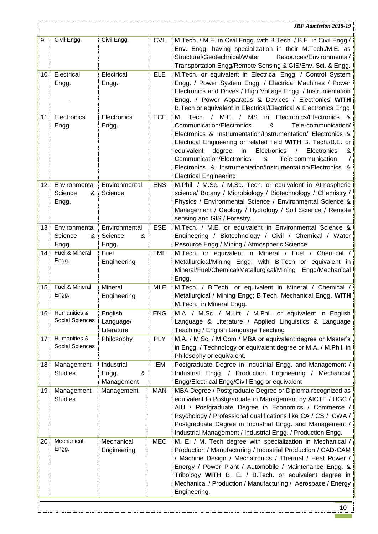|    |                                        |                                        |            | <b>JRF Admission 2018-19</b>                                                                                                                                                                                                                                                                                                                                                                                                                                                                                       |
|----|----------------------------------------|----------------------------------------|------------|--------------------------------------------------------------------------------------------------------------------------------------------------------------------------------------------------------------------------------------------------------------------------------------------------------------------------------------------------------------------------------------------------------------------------------------------------------------------------------------------------------------------|
| 9  | Civil Engg.                            | Civil Engg.                            | <b>CVL</b> | M.Tech. / M.E. in Civil Engg. with B.Tech. / B.E. in Civil Engg./<br>Env. Engg. having specialization in their M.Tech./M.E. as<br>Structural/Geotechnical/Water<br>Resources/Environmental/<br>Transportation Engg/Remote Sensing & GIS/Env. Sci. & Engg.                                                                                                                                                                                                                                                          |
| 10 | Electrical<br>Engg.                    | Electrical<br>Engg.                    | <b>ELE</b> | M.Tech. or equivalent in Electrical Engg. / Control System<br>Engg. / Power System Engg. / Electrical Machines / Power<br>Electronics and Drives / High Voltage Engg. / Instrumentation<br>Engg. / Power Apparatus & Devices / Electronics WITH<br>B. Tech or equivalent in Electrical/Electrical & Electronics Engg                                                                                                                                                                                               |
| 11 | Electronics<br>Engg.                   | Electronics<br>Engg.                   | <b>ECE</b> | Tech. / M.E. / MS<br>in Electronics/Electronics &<br>М.<br>&<br><b>Communication/Electronics</b><br>Tele-communication/<br>Electronics & Instrumentation/Instrumentation/ Electronics &<br>Electrical Engineering or related field WITH B. Tech./B.E. or<br>degree<br>Electronics<br>equivalent<br>in<br>$\sqrt{2}$<br>Electronics<br>&<br><b>Communication/Electronics</b><br>&<br>Tele-communication<br>$\prime$<br>Electronics & Instrumentation/Instrumentation/Electronics &<br><b>Electrical Engineering</b> |
| 12 | Environmental<br>Science<br>&<br>Engg. | Environmental<br>Science               | <b>ENS</b> | M.Phil. / M.Sc. / M.Sc. Tech. or equivalent in Atmospheric<br>science/ Botany / Microbiology / Biotechnology / Chemistry /<br>Physics / Environmental Science / Environmental Science &<br>Management / Geology / Hydrology / Soil Science / Remote<br>sensing and GIS / Forestry.                                                                                                                                                                                                                                 |
| 13 | Environmental<br>Science<br>&<br>Engg. | Environmental<br>Science<br>&<br>Engg. | <b>ESE</b> | M.Tech. / M.E. or equivalent in Environmental Science &<br>Engineering / Biotechnology / Civil / Chemical / Water<br>Resource Engg / Mining / Atmospheric Science                                                                                                                                                                                                                                                                                                                                                  |
| 14 | Fuel & Mineral<br>Engg.                | Fuel<br>Engineering                    | <b>FME</b> | M.Tech. or equivalent in Mineral / Fuel / Chemical /<br>Metallurgical/Mining Engg; with B.Tech or equivalent in<br>Mineral/Fuel/Chemical/Metallurgical/Mining Engg/Mechanical<br>Engg.                                                                                                                                                                                                                                                                                                                             |
| 15 | Fuel & Mineral<br>Engg.                | Mineral<br>Engineering                 | <b>MLE</b> | M.Tech. / B.Tech. or equivalent in Mineral / Chemical /<br>Metallurgical / Mining Engg; B.Tech. Mechanical Engg. WITH<br>M.Tech. in Mineral Engg.                                                                                                                                                                                                                                                                                                                                                                  |
| 16 | Humanities &<br>Social Sciences        | English<br>Language/<br>Literature     | <b>ENG</b> | M.A. / M.Sc. / M.Litt. / M.Phil. or equivalent in English<br>Language & Literature / Applied Linguistics & Language<br>Teaching / English Language Teaching                                                                                                                                                                                                                                                                                                                                                        |
| 17 | Humanities &<br>Social Sciences        | Philosophy                             | <b>PLY</b> | M.A. / M.Sc. / M.Com / MBA or equivalent degree or Master's<br>in Engg. / Technology or equivalent degree or M.A. / M.Phil. in<br>Philosophy or equivalent.                                                                                                                                                                                                                                                                                                                                                        |
| 18 | Management<br><b>Studies</b>           | Industrial<br>&<br>Engg.<br>Management | <b>IEM</b> | Postgraduate Degree in Industrial Engg. and Management /<br>Industrial Engg. / Production Engineering / Mechanical<br>Engg/Electrical Engg/Civil Engg or equivalent                                                                                                                                                                                                                                                                                                                                                |
| 19 | Management<br><b>Studies</b>           | Management                             | <b>MAN</b> | MBA Degree / Postgraduate Degree or Diploma recognized as<br>equivalent to Postgraduate in Management by AICTE / UGC /<br>AIU / Postgraduate Degree in Economics / Commerce /<br>Psychology / Professional qualifications like CA / CS / ICWA /<br>Postgraduate Degree in Industrial Engg. and Management /<br>Industrial Management / Industrial Engg. / Production Engg.                                                                                                                                         |
| 20 | Mechanical<br>Engg.                    | Mechanical<br>Engineering              | <b>MEC</b> | M. E. / M. Tech degree with specialization in Mechanical /<br>Production / Manufacturing / Industrial Production / CAD-CAM<br>/ Machine Design / Mechatronics / Thermal / Heat Power /<br>Energy / Power Plant / Automobile / Maintenance Engg. &<br>Tribology WITH B. E. / B.Tech. or equivalent degree in<br>Mechanical / Production / Manufacturing / Aerospace / Energy<br>Engineering.                                                                                                                        |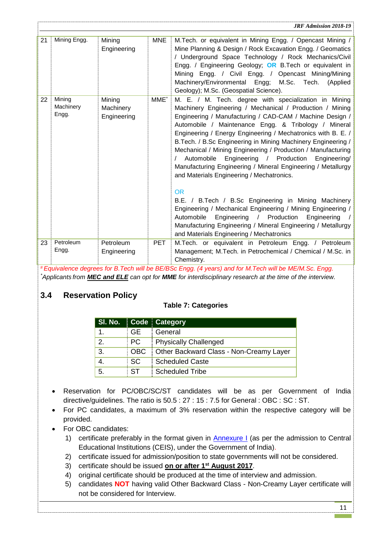|    | <b>JRF Admission 2018-19</b> |                                    |                  |                                                                                                                                                                                                                                                                                                                                                                                                                                                                                                                                                                                                                                                                                                                                                                                                                                                                                                                         |  |
|----|------------------------------|------------------------------------|------------------|-------------------------------------------------------------------------------------------------------------------------------------------------------------------------------------------------------------------------------------------------------------------------------------------------------------------------------------------------------------------------------------------------------------------------------------------------------------------------------------------------------------------------------------------------------------------------------------------------------------------------------------------------------------------------------------------------------------------------------------------------------------------------------------------------------------------------------------------------------------------------------------------------------------------------|--|
| 21 | Mining Engg.                 | Mining<br>Engineering              | <b>MNE</b>       | M. Tech. or equivalent in Mining Engg. / Opencast Mining /<br>Mine Planning & Design / Rock Excavation Engg. / Geomatics<br>/ Underground Space Technology / Rock Mechanics/Civil<br>Engg. / Engineering Geology; OR B.Tech or equivalent in<br>Mining Engg. / Civil Engg. / Opencast Mining/Mining<br>Machinery/Environmental Engg; M.Sc. Tech.<br>(Applied<br>Geology); M.Sc. (Geospatial Science).                                                                                                                                                                                                                                                                                                                                                                                                                                                                                                                   |  |
| 22 | Mining<br>Machinery<br>Engg. | Mining<br>Machinery<br>Engineering | MME <sup>*</sup> | M. E. / M. Tech. degree with specialization in Mining<br>Machinery Engineering / Mechanical / Production / Mining<br>Engineering / Manufacturing / CAD-CAM / Machine Design /<br>Automobile / Maintenance Engg. & Tribology / Mineral<br>Engineering / Energy Engineering / Mechatronics with B. E. /<br>B. Tech. / B. Sc Engineering in Mining Machinery Engineering /<br>Mechanical / Mining Engineering / Production / Manufacturing<br>Automobile Engineering / Production<br>Engineering/<br>Manufacturing Engineering / Mineral Engineering / Metallurgy<br>and Materials Engineering / Mechatronics.<br><b>OR</b><br>B.E. / B.Tech / B.Sc Engineering in Mining Machinery<br>Engineering / Mechanical Engineering / Mining Engineering /<br>/ Production<br>Automobile<br>Engineering<br>Engineering<br>Manufacturing Engineering / Mineral Engineering / Metallurgy<br>and Materials Engineering / Mechatronics |  |
| 23 | Petroleum<br>Engg.           | Petroleum<br>Engineering           | <b>PET</b>       | M.Tech. or equivalent in Petroleum Engg. / Petroleum<br>Management; M.Tech. in Petrochemical / Chemical / M.Sc. in<br>Chemistry.                                                                                                                                                                                                                                                                                                                                                                                                                                                                                                                                                                                                                                                                                                                                                                                        |  |

*# Equivalence degrees for B.Tech will be BE/BSc Engg. (4 years) and for M.Tech will be ME/M.Sc. Engg. \*Applicants from MEC and ELE can opt for MME for interdisciplinary research at the time of the interview.*

## <span id="page-10-0"></span>**3.4 Reservation Policy**

## **Table 7: Categories**

|    |            | SI. No. Code Category                   |  |  |  |
|----|------------|-----------------------------------------|--|--|--|
| 1. | : GE       | General                                 |  |  |  |
| 2. | ∃PC.       | <b>Physically Challenged</b>            |  |  |  |
| 3. | ∶OBC       | Dther Backward Class - Non-Creamy Layer |  |  |  |
| 4. | i sc       | Scheduled Caste                         |  |  |  |
| 5. | $\cdot$ ST | <b>Scheduled Tribe</b>                  |  |  |  |

- Reservation for PC/OBC/SC/ST candidates will be as per Government of India directive/guidelines. The ratio is 50.5 : 27 : 15 : 7.5 for General : OBC : SC : ST.
- For PC candidates, a maximum of 3% reservation within the respective category will be provided.
- For OBC candidates:
	- 1) certificate preferably in the format given in **Annexure I** (as per the admission to Central Educational Institutions (CEIS), under the Government of India).
	- 2) certificate issued for admission/position to state governments will not be considered.
	- 3) certificate should be issued **on or after 1 st August 2017**.
	- 4) original certificate should be produced at the time of interview and admission.
	- 5) candidates **NOT** having valid Other Backward Class Non-Creamy Layer certificate will not be considered for Interview.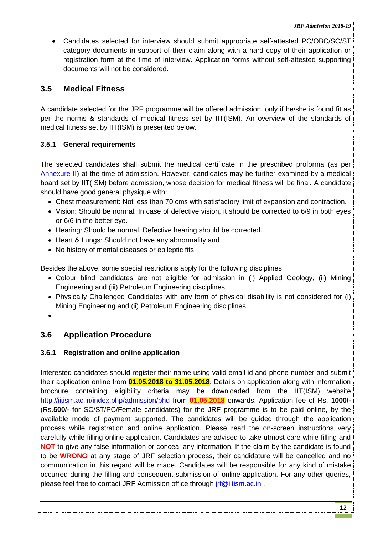Candidates selected for interview should submit appropriate self-attested PC/OBC/SC/ST category documents in support of their claim along with a hard copy of their application or registration form at the time of interview. Application forms without self-attested supporting documents will not be considered.

## <span id="page-11-0"></span>**3.5 Medical Fitness**

A candidate selected for the JRF programme will be offered admission, only if he/she is found fit as per the norms & standards of medical fitness set by IIT(ISM). An overview of the standards of medical fitness set by IIT(ISM) is presented below.

## <span id="page-11-1"></span>**3.5.1 General requirements**

The selected candidates shall submit the medical certificate in the prescribed proforma (as per [Annexure II\)](#page-33-1) at the time of admission. However, candidates may be further examined by a medical board set by IIT(ISM) before admission, whose decision for medical fitness will be final. A candidate should have good general physique with:

- Chest measurement: Not less than 70 cms with satisfactory limit of expansion and contraction.
- Vision: Should be normal. In case of defective vision, it should be corrected to 6/9 in both eyes or 6/6 in the better eye.
- Hearing: Should be normal. Defective hearing should be corrected.
- Heart & Lungs: Should not have any abnormality and
- No history of mental diseases or epileptic fits.

Besides the above, some special restrictions apply for the following disciplines:

- Colour blind candidates are not eligible for admission in (i) Applied Geology, (ii) Mining Engineering and (iii) Petroleum Engineering disciplines.
- Physically Challenged Candidates with any form of physical disability is not considered for (i) Mining Engineering and (ii) Petroleum Engineering disciplines.
- $\bullet$

## <span id="page-11-2"></span>**3.6 Application Procedure**

## <span id="page-11-3"></span>**3.6.1 Registration and online application**

Interested candidates should register their name using valid email id and phone number and submit their application online from **01.05.2018 to 31.05.2018**. Details on application along with information brochure containing eligibility criteria may be downloaded from the IIT(ISM) website [http://iitism.ac.in/index.php/admission/phd](http://www.ismdhanbad.ac.in/phd-jrf) from **01.05.2018** onwards. Application fee of Rs. **1000/-** (Rs.**500/-** for SC/ST/PC/Female candidates) for the JRF programme is to be paid online, by the available mode of payment supported. The candidates will be guided through the application process while registration and online application. Please read the on-screen instructions very carefully while filling online application. Candidates are advised to take utmost care while filling and **NOT** to give any false information or conceal any information. If the claim by the candidate is found to be **WRONG** at any stage of JRF selection process, their candidature will be cancelled and no communication in this regard will be made. Candidates will be responsible for any kind of mistake occurred during the filling and consequent submission of online application. For any other queries, please feel free to contact JRF Admission office through *irf@iitism.ac.in*.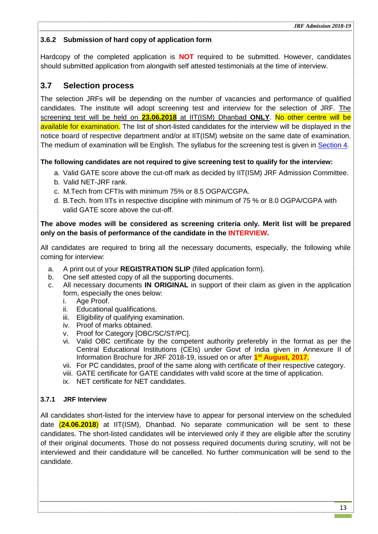### <span id="page-12-0"></span>**3.6.2 Submission of hard copy of application form**

Hardcopy of the completed application is **NOT** required to be submitted. However, candidates should submitted application from alongwith self attested testimonials at the time of interview.

## <span id="page-12-1"></span>**3.7 Selection process**

The selection JRFs will be depending on the number of vacancies and performance of qualified candidates. The institute will adopt screening test and interview for the selection of JRF. The screening test will be held on **23.06.2018** at IIT(ISM) Dhanbad **ONLY**. No other centre will be available for examination. The list of short-listed candidates for the interview will be displayed in the notice board of respective department and/or at IIT(ISM) website on the same date of examination. The medium of examination will be English. The syllabus for the screening test is given in [Section 4.](#page-13-1)

#### <span id="page-12-2"></span>**The following candidates are not required to give screening test to qualify for the interview:**

- a. Valid GATE score above the cut-off mark as decided by IIT(ISM) JRF Admission Committee.
- b. Valid NET-JRF rank.
- c. M.Tech from CFTIs with minimum 75% or 8.5 OGPA/CGPA.
- d. B.Tech. from IITs in respective discipline with minimum of 75 % or 8.0 OGPA/CGPA with valid GATE score above the cut-off.

#### **The above modes will be considered as screening criteria only. Merit list will be prepared only on the basis of performance of the candidate in the INTERVIEW.**

All candidates are required to bring all the necessary documents, especially, the following while coming for interview:

- a. A print out of your **REGISTRATION SLIP** (filled application form).
- b. One self attested copy of all the supporting documents.
- c. All necessary documents **IN ORIGINAL** in support of their claim as given in the application form, especially the ones below:
	- i. Age Proof.
	- ii. Educational qualifications.
	- iii. Eligibility of qualifying examination.
	- iv. Proof of marks obtained.
	- v. Proof for Category [OBC/SC/ST/PC].
	- vi. Valid OBC certificate by the competent authority preferebly in the format as per the Central Educational Institutions (CEIs) under Govt of India given in Annexure II of Information Brochure for JRF 2018-19, issued on or after **1 st August, 2017**.
	- vii. For PC candidates, proof of the same along with certificate of their respective category.
	- viii. GATE certificate for GATE candidates with valid score at the time of application.
	- ix. NET certificate for NET candidates.

### <span id="page-12-3"></span>**3.7.1 JRF Interview**

All candidates short-listed for the interview have to appear for personal interview on the scheduled date (**24.06.2018**) at IIT(ISM), Dhanbad. No separate communication will be sent to these candidates. The short-listed candidates will be interviewed only if they are eligible after the scrutiny of their original documents. Those do not possess required documents during scrutiny, will not be interviewed and their candidature will be cancelled. No further communication will be send to the candidate.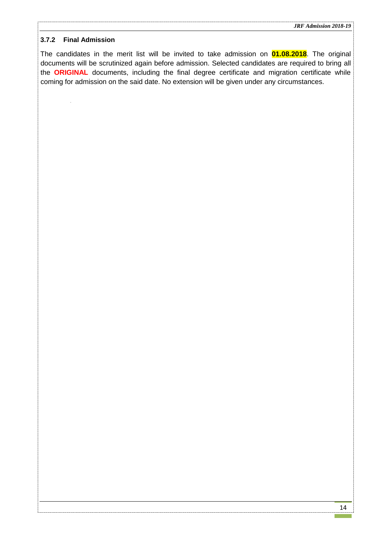#### <span id="page-13-0"></span>**3.7.2 Final Admission**

<span id="page-13-1"></span>The candidates in the merit list will be invited to take admission on **01.08.2018**. The original documents will be scrutinized again before admission. Selected candidates are required to bring all the **ORIGINAL** documents, including the final degree certificate and migration certificate while coming for admission on the said date. No extension will be given under any circumstances.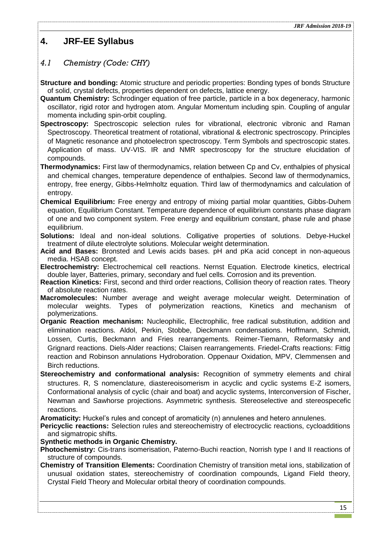## <span id="page-14-0"></span>**4. JRF-EE Syllabus**

## <span id="page-14-1"></span>*4.1 Chemistry (Code: CHY)*

**Structure and bonding:** Atomic structure and periodic properties: Bonding types of bonds Structure of solid, crystal defects, properties dependent on defects, lattice energy.

- **Quantum Chemistry:** Schrodinger equation of free particle, particle in a box degeneracy, harmonic oscillator, rigid rotor and hydrogen atom. Angular Momentum including spin. Coupling of angular momenta including spin-orbit coupling.
- **Spectroscopy:** Spectroscopic selection rules for vibrational, electronic vibronic and Raman Spectroscopy. Theoretical treatment of rotational, vibrational & electronic spectroscopy. Principles of Magnetic resonance and photoelectron spectroscopy. Term Symbols and spectroscopic states. Application of mass. UV-VIS. IR and NMR spectroscopy for the structure elucidation of compounds.
- **Thermodynamics:** First law of thermodynamics, relation between Cp and Cv, enthalpies of physical and chemical changes, temperature dependence of enthalpies. Second law of thermodynamics, entropy, free energy, Gibbs-Helmholtz equation. Third law of thermodynamics and calculation of entropy.
- **Chemical Equilibrium:** Free energy and entropy of mixing partial molar quantities, Gibbs-Duhem equation, Equilibrium Constant. Temperature dependence of equilibrium constants phase diagram of one and two component system. Free energy and equilibrium constant, phase rule and phase equilibrium.
- **Solutions:** Ideal and non-ideal solutions. Colligative properties of solutions. Debye-Huckel treatment of dilute electrolyte solutions. Molecular weight determination.
- **Acid and Bases:** Bronsted and Lewis acids bases. pH and pKa acid concept in non-aqueous media. HSAB concept.
- **Electrochemistry:** Electrochemical cell reactions. Nernst Equation. Electrode kinetics, electrical double layer, Batteries, primary, secondary and fuel cells. Corrosion and its prevention.
- **Reaction Kinetics:** First, second and third order reactions, Collision theory of reaction rates. Theory of absolute reaction rates.
- **Macromolecules:** Number average and weight average molecular weight. Determination of molecular weights. Types of polymerization reactions, Kinetics and mechanism of polymerizations.
- **Organic Reaction mechanism:** Nucleophilic, Electrophilic, free radical substitution, addition and elimination reactions. Aldol, Perkin, Stobbe, Dieckmann condensations. Hoffmann, Schmidt, Lossen, Curtis, Beckmann and Fries rearrangements. Reimer-Tiemann, Reformatsky and Grignard reactions. Diels-Alder reactions; Claisen rearrangements. Friedel-Crafts reactions: Fittig reaction and Robinson annulations Hydroboration. Oppenaur Oxidation, MPV, Clemmensen and Birch reductions.
- Stereochemistry and conformational analysis: Recognition of symmetry elements and chiral structures. R, S nomenclature, diastereoisomerism in acyclic and cyclic systems E-Z isomers, Conformational analysis of cyclic (chair and boat) and acyclic systems, Interconversion of Fischer, Newman and Sawhorse projections. Asymmetric synthesis. Stereoselective and stereospecefic reactions.

**Aromaticity:** Huckel's rules and concept of aromaticity (n) annulenes and hetero annulenes.

**Pericyclic reactions:** Selection rules and stereochemistry of electrocyclic reactions, cycloadditions and sigmatropic shifts.

**Synthetic methods in Organic Chemistry.** 

- **Photochemistry:** Cis-trans isomerisation, Paterno-Buchi reaction, Norrish type I and II reactions of structure of compounds.
- **Chemistry of Transition Elements:** Coordination Chemistry of transition metal ions, stabilization of unusual oxidation states, stereochemistry of coordination compounds, Ligand Field theory, Crystal Field Theory and Molecular orbital theory of coordination compounds.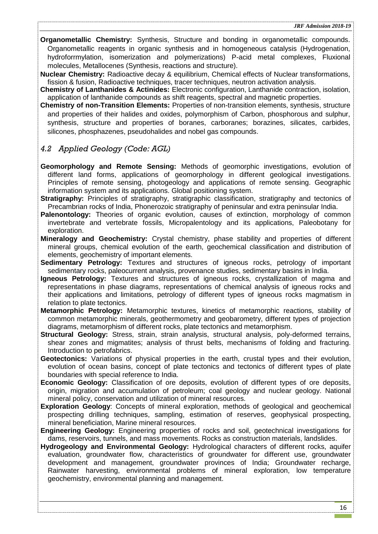**Organometallic Chemistry:** Synthesis, Structure and bonding in organometallic compounds. Organometallic reagents in organic synthesis and in homogeneous catalysis (Hydrogenation, hydroforrmylation, isomerization and polymerizations) P-acid metal complexes, Fluxional molecules, Metallocenes (Synthesis, reactions and structure).

- **Nuclear Chemistry:** Radioactive decay & equilibrium, Chemical effects of Nuclear transformations, fission & fusion, Radioactive techniques, tracer techniques, neutron activation analysis.
- **Chemistry of Lanthanides & Actinides:** Electronic configuration, Lanthanide contraction, isolation, application of lanthanide compounds as shift reagents, spectral and magnetic properties.
- **Chemistry of non-Transition Elements:** Properties of non-transition elements, synthesis, structure and properties of their halides and oxides, polymorphism of Carbon, phosphorous and sulphur, synthesis, structure and properties of boranes, carboranes; borazines, silicates, carbides, silicones, phosphazenes, pseudohalides and nobel gas compounds.

## <span id="page-15-0"></span>*4.2 Applied Geology (Code: AGL)*

- **Geomorphology and Remote Sensing:** Methods of geomorphic investigations, evolution of different land forms, applications of geomorphology in different geological investigations. Principles of remote sensing, photogeology and applications of remote sensing. Geographic information system and its applications. Global positioning system.
- **Stratigraphy:** Principles of stratigraphy, stratigraphic classification, stratigraphy and tectonics of Precambrian rocks of India, Phonerozoic stratigraphy of peninsular and extra peninsular India.
- **Palenontology:** Theories of organic evolution, causes of extinction, morphology of common invertebrate and vertebrate fossils, Micropalentology and its applications, Paleobotany for exploration.
- **Mineralogy and Geochemistry:** Crystal chemistry, phase stability and properties of different mineral groups, chemical evolution of the earth, geochemical classification and distribution of elements, geochemistry of important elements.
- **Sedimentary Petrology:** Textures and structures of igneous rocks, petrology of important sedimentary rocks, paleocurrent analysis, provenance studies, sedimentary basins in India.
- **Igneous Petrology:** Textures and structures of igneous rocks, crystallization of magma and representations in phase diagrams, representations of chemical analysis of igneous rocks and their applications and limitations, petrology of different types of igneous rocks magmatism in relation to plate tectonics.
- **Metamorphic Petrology:** Metamorphic textures, kinetics of metamorphic reactions, stability of common metamorphic minerals, geothermometry and geobarometry, different types of projection diagrams, metamorphism of different rocks, plate tectonics and metamorphism.
- **Structural Geology:** Stress, strain, strain analysis, structural analysis, poly-deformed terrains, shear zones and migmatites; analysis of thrust belts, mechanisms of folding and fracturing. Introduction to petrofabrics.
- **Geotectonics:** Variations of physical properties in the earth, crustal types and their evolution, evolution of ocean basins, concept of plate tectonics and tectonics of different types of plate boundaries with special reference to India.
- **Economic Geology:** Classification of ore deposits, evolution of different types of ore deposits, origin, migration and accumulation of petroleum; coal geology and nuclear geology. National mineral policy, conservation and utilization of mineral resources.
- **Exploration Geology**: Concepts of mineral exploration, methods of geological and geochemical prospecting drilling techniques, sampling, estimation of reserves, geophysical prospecting, mineral beneficiation, Marine mineral resources.
- **Engineering Geology:** Engineering properties of rocks and soil, geotechnical investigations for dams, reservoirs, tunnels, and mass movements. Rocks as construction materials, landslides.
- **Hydrogeology and Environmental Geology:** Hydrological characters of different rocks, aquifer evaluation, groundwater flow, characteristics of groundwater for different use, groundwater development and management, groundwater provinces of India; Groundwater recharge, Rainwater harvesting, environmental problems of mineral exploration, low temperature geochemistry, environmental planning and management.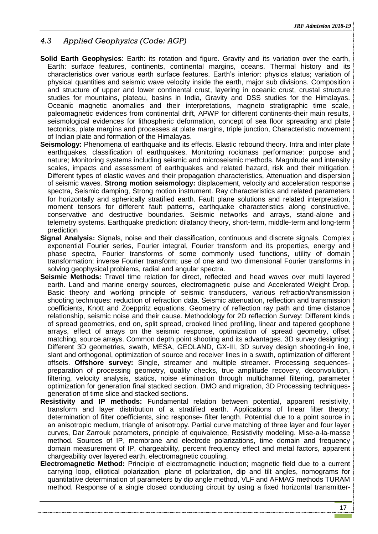## <span id="page-16-0"></span>*4.3 Applied Geophysics (Code: AGP)*

- **Solid Earth Geophysics**: Earth: its rotation and figure. Gravity and its variation over the earth, Earth: surface features, continents, continental margins, oceans. Thermal history and its characteristics over various earth surface features. Earth's interior: physics status; variation of physical quantities and seismic wave velocity inside the earth, major sub divisions. Composition and structure of upper and lower continental crust, layering in oceanic crust, crustal structure studies for mountains, plateau, basins in India, Gravity and DSS studies for the Himalayas. Oceanic magnetic anomalies and their interpretations, magneto stratigraphic time scale, paleomagnetic evidences from continental drift, APWP for different continents-their main results, seismological evidences for lithospheric deformation, concept of sea floor spreading and plate tectonics, plate margins and processes at plate margins, triple junction, Characteristic movement of Indian plate and formation of the Himalayas.
- **Seismology:** Phenomena of earthquake and its effects. Elastic rebound theory. Intra and inter plate earthquakes, classification of earthquakes. Monitoring rockmass performance: purpose and nature; Monitoring systems including seismic and microseismic methods. Magnitude and intensity scales, impacts and assessment of earthquakes and related hazard, risk and their mitigation. Different types of elastic waves and their propagation characteristics, Attenuation and dispersion of seismic waves. **Strong motion seismology:** displacement, velocity and acceleration response spectra, Seismic damping, Strong motion instrument. Ray characteristics and related parameters for horizontally and spherically stratified earth. Fault plane solutions and related interpretation, moment tensors for different fault patterns, earthquake characteristics along constructive, conservative and destructive boundaries. Seismic networks and arrays, stand-alone and telemetry systems. Earthquake prediction: dilatancy theory, short-term, middle-term and long-term prediction
- **Signal Analysis:** Signals, noise and their classification, continuous and discrete signals. Complex exponential Fourier series, Fourier integral, Fourier transform and its properties, energy and phase spectra, Fourier transforms of some commonly used functions, utility of domain transformation; inverse Fourier transform; use of one and two dimensional Fourier transforms in solving geophysical problems, radial and angular spectra.
- **Seismic Methods:** Travel time relation for direct, reflected and head waves over multi layered earth. Land and marine energy sources, electromagnetic pulse and Accelerated Weight Drop. Basic theory and working principle of seismic transducers, various refraction/transmission shooting techniques: reduction of refraction data. Seismic attenuation, reflection and transmission coefficients, Knott and Zoeppritz equations. Geometry of reflection ray path and time distance relationship, seismic noise and their cause. Methodology for 2D reflection Survey: Different kinds of spread geometries, end on, split spread, crooked lined profiling, linear and tapered geophone arrays, effect of arrays on the seismic response, optimization of spread geometry, offset matching, source arrays. Common depth point shooting and its advantages. 3D survey designing: Different 3D geometries, swath, MESA, GEOLAND, GX-III, 3D survey design shooting-in line, slant and orthogonal, optimization of source and receiver lines in a swath, optimization of different offsets. **Offshore survey:** Single, streamer and multiple streamer. Processing sequencespreparation of processing geometry, quality checks, true amplitude recovery, deconvolution, filtering, velocity analysis, statics, noise elimination through multichannel filtering, parameter optimization for generation final stacked section. DMO and migration, 3D Processing techniquesgeneration of time slice and stacked sections.
- **Resistivity and IP methods:** Fundamental relation between potential, apparent resistivity, transform and layer distribution of a stratified earth. Applications of linear filter theory; determination of filter coefficients, sinc response- filter length. Potential due to a point source in an anisotropic medium, triangle of anisotropy. Partial curve matching of three layer and four layer curves, Dar Zarrouk parameters, principle of equivalence, Resistivity modeling. Mise-a-la-masse method. Sources of IP, membrane and electrode polarizations, time domain and frequency domain measurement of IP, chargeability, percent frequency effect and metal factors, apparent chargeability over layered earth, electromagnetic coupling.
- **Electromagnetic Method:** Principle of electromagnetic induction; magnetic field due to a current carrying loop, elliptical polarization, plane of polarization, dip and tilt angles, nomograms for quantitative determination of parameters by dip angle method, VLF and AFMAG methods TURAM method. Response of a single closed conducting circuit by using a fixed horizontal transmitter-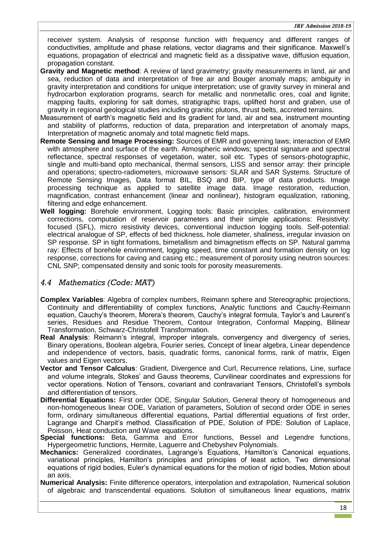receiver system. Analysis of response function with frequency and different ranges of conductivities, amplitude and phase relations, vector diagrams and their significance. Maxwell's equations, propagation of electrical and magnetic field as a dissipative wave, diffusion equation, propagation constant.

- **Gravity and Magnetic method**: A review of land gravimetry; gravity measurements in land, air and sea, reduction of data and interpretation of free air and Bouger anomaly maps; ambiguity in gravity interpretation and conditions for unique interpretation; use of gravity survey in mineral and hydrocarbon exploration programs, search for metallic and nonmetallic ores, coal and lignite; mapping faults, exploring for salt domes, stratigraphic traps, uplifted horst and graben, use of gravity in regional geological studies including granitic plutons, thrust belts, accreted terrains.
- Measurement of earth's magnetic field and its gradient for land, air and sea, instrument mounting and stability of platforms, reduction of data, preparation and interpretation of anomaly maps, Interpretation of magnetic anomaly and total magnetic field maps.
- **Remote Sensing and Image Processing:** Sources of EMR and governing laws; interaction of EMR with atmosphere and surface of the earth. Atmospheric windows; spectral signature and spectral reflectance, spectral responses of vegetation, water, soil etc. Types of sensors-photographic, single and multi-band opto mechanical, thermal sensors, LISS and sensor array: their principle and operations; spectro-radiometers, microwave sensors: SLAR and SAR Systems. Structure of Remote Sensing Images, Data format BIL, BSQ and BIP, type of data products. Image processing technique as applied to satellite image data. Image restoration, reduction, magnification, contrast enhancement (linear and nonlinear), histogram equalization, rationing, filtering and edge enhancement.
- **Well logging:** Borehole environment, Logging tools: Basic principles, calibration, environment corrections, computation of reservoir parameters and their simple applications: Resistivity: focused (SFL), micro resistivity devices, conventional induction logging tools. Self-potential: electrical analogue of SP, effects of bed thickness, hole diameter, shaliness, irregular invasion on SP response. SP in tight formations, bimetallism and bimagnetism effects on SP. Natural gamma ray: Effects of borehole environment, logging speed, time constant and formation density on log response, corrections for caving and casing etc.; measurement of porosity using neutron sources: CNL SNP; compensated density and sonic tools for porosity measurements.

### <span id="page-17-0"></span>*4.4 Mathematics (Code: MAT)*

- **Complex Variables**: Algebra of complex numbers, Reimann sphere and Stereographic projections, Continuity and differentiability of complex functions, Analytic functions and Cauchy-Reimann equation, Cauchy's theorem, Morera's theorem, Cauchy's integral formula, Taylor's and Laurent's series, Residues and Residue Theorem, Contour Integration, Conformal Mapping, Bilinear Transformation, Schwarz-Christofell Transformation.
- **Real Analysis**: Reimann's integral, improper integrals, convergency and divergency of series, Binary operations, Boolean algebra, Fourier series, Concept of linear algebra, Linear dependence and independence of vectors, basis, quadratic forms, canonical forms, rank of matrix, Eigen values and Eigen vectors.
- **Vector and Tensor Calculus**: Gradient, Divergence and Curl, Recurrence relations, Line, surface and volume integrals, Stokes' and Gauss theorems, Curvilinear coordinates and expressions for vector operations. Notion of Tensors, covariant and contravariant Tensors, Christofell's symbols and differentiation of tensors.
- **Differential Equations:** First order ODE, Singular Solution, General theory of homogeneous and non-homogeneous linear ODE, Variation of parameters, Solution of second order ODE in series form, ordinary simultaneous differential equations, Partial differential equations of first order, Lagrange and Charpit's method. Classification of PDE, Solution of PDE: Solution of Laplace, Poisson, Heat conduction and Wave equations.
- **Special functions:** Beta, Gamma and Error functions, Bessel and Legendre functions, Hypergeometric functions, Hermite, Laguerre and Chebyshev Polynomials.
- **Mechanics:** Generalized coordinates, Lagrange's Equations, Hamilton's Canonical equations, variational principles, Hamilton's principles and principles of least action, Two dimensional equations of rigid bodies, Euler's dynamical equations for the motion of rigid bodies, Motion about an axis.
- **Numerical Analysis:** Finite difference operators, interpolation and extrapolation, Numerical solution of algebraic and transcendental equations. Solution of simultaneous linear equations, matrix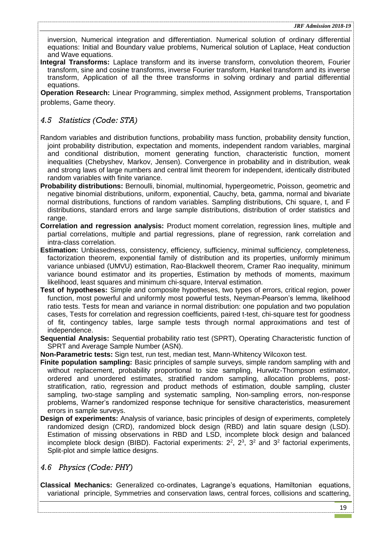inversion, Numerical integration and differentiation. Numerical solution of ordinary differential equations: Initial and Boundary value problems, Numerical solution of Laplace, Heat conduction and Wave equations.

**Integral Transforms:** Laplace transform and its inverse transform, convolution theorem, Fourier transform, sine and cosine transforms, inverse Fourier transform, Hankel transform and its inverse transform, Application of all the three transforms in solving ordinary and partial differential equations.

**Operation Research:** Linear Programming, simplex method, Assignment problems, Transportation problems, Game theory.

### <span id="page-18-0"></span>*4.5 Statistics (Code: STA)*

- Random variables and distribution functions, probability mass function, probability density function, joint probability distribution, expectation and moments, independent random variables, marginal and conditional distribution, moment generating function, characteristic function, moment inequalities (Chebyshev, Markov, Jensen). Convergence in probability and in distribution, weak and strong laws of large numbers and central limit theorem for independent, identically distributed random variables with finite variance.
- **Probability distributions:** Bernoulli, binomial, multinomial, hypergeometric, Poisson, geometric and negative binomial distributions, uniform, exponential, Cauchy, beta, gamma, normal and bivariate normal distributions, functions of random variables. Sampling distributions, Chi square, t, and F distributions, standard errors and large sample distributions, distribution of order statistics and range.
- **Correlation and regression analysis:** Product moment correlation, regression lines, multiple and partial correlations, multiple and partial regressions, plane of regression, rank correlation and intra-class correlation.
- **Estimation:** Unbiasedness, consistency, efficiency, sufficiency, minimal sufficiency, completeness, factorization theorem, exponential family of distribution and its properties, uniformly minimum variance unbiased (UMVU) estimation, Rao-Blackwell theorem, Cramer Rao inequality, minimum variance bound estimator and its properties, Estimation by methods of moments, maximum likelihood, least squares and minimum chi-square, Interval estimation.
- **Test of hypotheses:** Simple and composite hypotheses, two types of errors, critical region, power function, most powerful and uniformly most powerful tests, Neyman-Pearson's lemma, likelihood ratio tests. Tests for mean and variance in normal distribution: one population and two population cases, Tests for correlation and regression coefficients, paired t-test, chi-square test for goodness of fit, contingency tables, large sample tests through normal approximations and test of independence.
- **Sequential Analysis:** Sequential probability ratio test (SPRT), Operating Characteristic function of SPRT and Average Sample Number (ASN).
- **Non-Parametric tests:** Sign test, run test, median test, Mann-Whitency Wilcoxon test.
- **Finite population sampling:** Basic principles of sample surveys, simple random sampling with and without replacement, probability proportional to size sampling, Hurwitz-Thompson estimator, ordered and unordered estimates, stratified random sampling, allocation problems, poststratification, ratio, regression and product methods of estimation, double sampling, cluster sampling, two-stage sampling and systematic sampling, Non-sampling errors, non-response problems, Warner's randomized response technique for sensitive characteristics, measurement errors in sample surveys.
- **Design of experiments:** Analysis of variance, basic principles of design of experiments, completely randomized design (CRD), randomized block design (RBD) and latin square design (LSD). Estimation of missing observations in RBD and LSD, incomplete block design and balanced incomplete block design (BIBD). Factorial experiments:  $2^2$ ,  $2^3$ ,  $3^2$  and  $3^2$  factorial experiments, Split-plot and simple lattice designs.

### <span id="page-18-1"></span>*4.6 Physics (Code: PHY)*

**Classical Mechanics:** Generalized co-ordinates, Lagrange's equations, Hamiltonian equations, variational principle, Symmetries and conservation laws, central forces, collisions and scattering,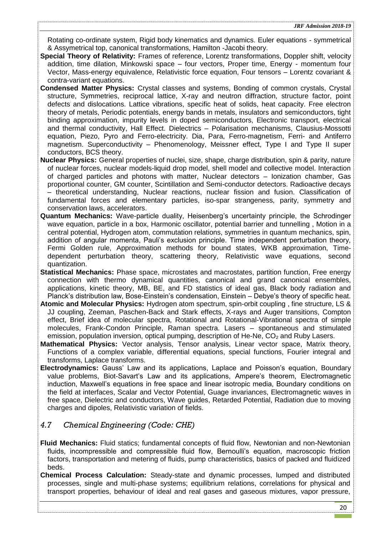Rotating co-ordinate system, Rigid body kinematics and dynamics. Euler equations - symmetrical & Assymetrical top, canonical transformations, Hamilton -Jacobi theory.

- **Special Theory of Relativity:** Frames of reference, Lorentz transformations, Doppler shift, velocity addition, time dilation, Minkowski space – four vectors, Proper time, Energy - momentum four Vector, Mass-energy equivalence, Relativistic force equation, Four tensors – Lorentz covariant & contra-variant equations.
- **Condensed Matter Physics:** Crystal classes and systems, Bonding of common crystals, Crystal structure, Symmetries, reciprocal lattice, X-ray and neutron diffraction, structure factor, point defects and dislocations. Lattice vibrations, specific heat of solids, heat capacity. Free electron theory of metals, Periodic potentials, energy bands in metals, insulators and semiconductors, tight binding approximation, impurity levels in doped semiconductors, Electronic transport, electrical and thermal conductivity, Hall Effect. Dielectrics – Polarisation mechanisms, Clausius-Mossotti equation, Piezo, Pyro and Ferro-electricity. Dia, Para, Ferro-magnetism, Ferri- and Antiferro magnetism. Superconductivity – Phenomenology, Meissner effect, Type I and Type II super conductors, BCS theory.
- **Nuclear Physics:** General properties of nuclei, size, shape, charge distribution, spin & parity, nature of nuclear forces, nuclear models-liquid drop model, shell model and collective model. Interaction of charged particles and photons with matter, Nuclear detectors – Ionization chamber, Gas proportional counter, GM counter, Scintillation and Semi-conductor detectors. Radioactive decays – theoretical understanding, Nuclear reactions, nuclear fission and fusion. Classification of fundamental forces and elementary particles, iso-spar strangeness, parity, symmetry and conservation laws, accelerators.
- **Quantum Mechanics:** Wave-particle duality, Heisenberg's uncertainty principle, the Schrodinger wave equation, particle in a box, Harmonic oscillator, potential barrier and tunnelling , Motion in a central potential, Hydrogen atom, commutation relations, symmetries in quantum mechanics, spin, addition of angular momenta, Pauli's exclusion principle. Time independent perturbation theory, Fermi Golden rule, Approximation methods for bound states, WKB approximation, Timedependent perturbation theory, scattering theory, Relativistic wave equations, second quantization.
- **Statistical Mechanics:** Phase space, microstates and macrostates, partition function, Free energy connection with thermo dynamical quantities, canonical and grand canonical ensembles, applications, kinetic theory, MB, BE, and FD statistics of ideal gas, Black body radiation and Planck's distribution law, Bose-Einstein's condensation, Einstein – Debye's theory of specific heat.
- **Atomic and Molecular Physics:** Hydrogen atom spectrum, spin-orbit coupling , fine structure, LS & JJ coupling, Zeeman, Paschen-Back and Stark effects, X-rays and Auger transitions, Compton effect, Brief idea of molecular spectra, Rotational and Rotational-Vibrational spectra of simple molecules, Frank-Condon Principle, Raman spectra. Lasers – spontaneous and stimulated emission, population inversion, optical pumping, description of He-Ne,  $CO<sub>2</sub>$  and Ruby Lasers.
- **Mathematical Physics:** Vector analysis, Tensor analysis, Linear vector space, Matrix theory, Functions of a complex variable, differential equations, special functions, Fourier integral and transforms, Laplace transforms.
- **Electrodynamics:** Gauss' Law and its applications, Laplace and Poisson's equation, Boundary value problems, Biot-Savart's Law and its applications, Ampere's theorem, Electromagnetic induction, Maxwell's equations in free space and linear isotropic media, Boundary conditions on the field at interfaces, Scalar and Vector Potential, Guage invariances, Electromagnetic waves in free space, Dielectric and conductors, Wave guides, Retarded Potential, Radiation due to moving charges and dipoles, Relativistic variation of fields.

## <span id="page-19-0"></span>*4.7 Chemical Engineering (Code: CHE)*

- **Fluid Mechanics:** Fluid statics; fundamental concepts of fluid flow, Newtonian and non-Newtonian fluids, incompressible and compressible fluid flow, Bernoulli's equation, macroscopic friction factors, transportation and metering of fluids, pump characteristics, basics of packed and fluidized beds.
- **Chemical Process Calculation:** Steady-state and dynamic processes, lumped and distributed processes, single and multi-phase systems; equilibrium relations, correlations for physical and transport properties, behaviour of ideal and real gases and gaseous mixtures, vapor pressure,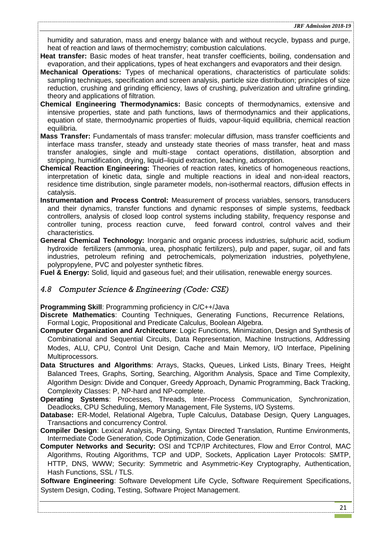humidity and saturation, mass and energy balance with and without recycle, bypass and purge, heat of reaction and laws of thermochemistry; combustion calculations.

- **Heat transfer:** Basic modes of heat transfer, heat transfer coefficients, boiling, condensation and evaporation, and their applications, types of heat exchangers and evaporators and their design.
- **Mechanical Operations:** Types of mechanical operations, characteristics of particulate solids: sampling techniques, specification and screen analysis, particle size distribution; principles of size reduction, crushing and grinding efficiency, laws of crushing, pulverization and ultrafine grinding, theory and applications of filtration.
- **Chemical Engineering Thermodynamics:** Basic concepts of thermodynamics, extensive and intensive properties, state and path functions, laws of thermodynamics and their applications, equation of state, thermodynamic properties of fluids, vapour-liquid equilibria, chemical reaction equilibria.
- **Mass Transfer:** Fundamentals of mass transfer: molecular diffusion, mass transfer coefficients and interface mass transfer, steady and unsteady state theories of mass transfer, heat and mass transfer analogies, single and multi-stage contact operations, distillation, absorption and stripping, humidification, drying, liquid–liquid extraction, leaching, adsorption.
- **Chemical Reaction Engineering:** Theories of reaction rates, kinetics of homogeneous reactions, interpretation of kinetic data, single and multiple reactions in ideal and non-ideal reactors, residence time distribution, single parameter models, non-isothermal reactors, diffusion effects in catalysis.
- **Instrumentation and Process Control:** Measurement of process variables, sensors, transducers and their dynamics, transfer functions and dynamic responses of simple systems, feedback controllers, analysis of closed loop control systems including stability, frequency response and controller tuning, process reaction curve, feed forward control, control valves and their characteristics.
- **General Chemical Technology:** Inorganic and organic process industries, sulphuric acid, sodium hydroxide fertilizers (ammonia, urea, phosphatic fertilizers), pulp and paper, sugar, oil and fats industries, petroleum refining and petrochemicals, polymerization industries, polyethylene, polypropylene, PVC and polyester synthetic fibres.

<span id="page-20-0"></span>**Fuel & Energy:** Solid, liquid and gaseous fuel; and their utilisation, renewable energy sources.

### *4.8 Computer Science & Engineering (Code: CSE)*

**Programming Skill**: Programming proficiency in C/C++/Java

**Discrete Mathematics**: Counting Techniques, Generating Functions, Recurrence Relations, Formal Logic, Propositional and Predicate Calculus, Boolean Algebra.

- **Computer Organization and Architecture**: Logic Functions, Minimization, Design and Synthesis of Combinational and Sequential Circuits, Data Representation, Machine Instructions, Addressing Modes, ALU, CPU, Control Unit Design, Cache and Main Memory, I/O Interface, Pipelining Multiprocessors.
- **Data Structures and Algorithms**: Arrays, Stacks, Queues, Linked Lists, Binary Trees, Height Balanced Trees, Graphs, Sorting, Searching, Algorithm Analysis, Space and Time Complexity, Algorithm Design: Divide and Conquer, Greedy Approach, Dynamic Programming, Back Tracking, Complexity Classes: P, NP-hard and NP-complete.
- **Operating Systems**: Processes, Threads, Inter-Process Communication, Synchronization, Deadlocks, CPU Scheduling, Memory Management, File Systems, I/O Systems.
- **Database:** ER-Model, Relational Algebra, Tuple Calculus, Database Design, Query Languages, Transactions and concurrency Control.
- **Compiler Design**: Lexical Analysis, Parsing, Syntax Directed Translation, Runtime Environments, Intermediate Code Generation, Code Optimization, Code Generation.

**Computer Networks and Security:** OSI and TCP/IP Architectures, Flow and Error Control, MAC Algorithms, Routing Algorithms, TCP and UDP, Sockets, Application Layer Protocols: SMTP, HTTP, DNS, WWW; Security: Symmetric and Asymmetric-Key Cryptography, Authentication, Hash Functions, SSL / TLS.

**Software Engineering**: Software Development Life Cycle, Software Requirement Specifications, System Design, Coding, Testing, Software Project Management.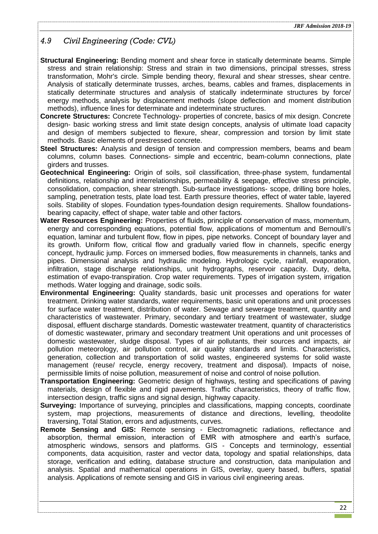## <span id="page-21-0"></span>*4.9 Civil Engineering (Code: CVL)*

- **Structural Engineering:** Bending moment and shear force in statically determinate beams. Simple stress and strain relationship: Stress and strain in two dimensions, principal stresses, stress transformation, Mohr's circle. Simple bending theory, flexural and shear stresses, shear centre. Analysis of statically determinate trusses, arches, beams, cables and frames, displacements in statically determinate structures and analysis of statically indeterminate structures by force/ energy methods, analysis by displacement methods (slope deflection and moment distribution methods), influence lines for determinate and indeterminate structures.
- **Concrete Structures:** Concrete Technology- properties of concrete, basics of mix design. Concrete design- basic working stress and limit state design concepts, analysis of ultimate load capacity and design of members subjected to flexure, shear, compression and torsion by limit state methods. Basic elements of prestressed concrete.
- **Steel Structures:** Analysis and design of tension and compression members, beams and beam columns, column bases. Connections- simple and eccentric, beam-column connections, plate girders and trusses.
- **Geotechnical Engineering:** Origin of soils, soil classification, three-phase system, fundamental definitions, relationship and interrelationships, permeability & seepage, effective stress principle, consolidation, compaction, shear strength. Sub-surface investigations- scope, drilling bore holes, sampling, penetration tests, plate load test. Earth pressure theories, effect of water table, layered soils. Stability of slopes. Foundation types-foundation design requirements. Shallow foundationsbearing capacity, effect of shape, water table and other factors.
- **Water Resources Engineering:** Properties of fluids, principle of conservation of mass, momentum, energy and corresponding equations, potential flow, applications of momentum and Bernoulli's equation, laminar and turbulent flow, flow in pipes, pipe networks. Concept of boundary layer and its growth. Uniform flow, critical flow and gradually varied flow in channels, specific energy concept, hydraulic jump. Forces on immersed bodies, flow measurements in channels, tanks and pipes. Dimensional analysis and hydraulic modeling. Hydrologic cycle, rainfall, evaporation, infiltration, stage discharge relationships, unit hydrographs, reservoir capacity. Duty, delta, estimation of evapo-transpiration. Crop water requirements. Types of irrigation system, irrigation methods. Water logging and drainage, sodic soils.
- **Environmental Engineering:** Quality standards, basic unit processes and operations for water treatment. Drinking water standards, water requirements, basic unit operations and unit processes for surface water treatment, distribution of water. Sewage and sewerage treatment, quantity and characteristics of wastewater. Primary, secondary and tertiary treatment of wastewater, sludge disposal, effluent discharge standards. Domestic wastewater treatment, quantity of characteristics of domestic wastewater, primary and secondary treatment Unit operations and unit processes of domestic wastewater, sludge disposal. Types of air pollutants, their sources and impacts, air pollution meteorology, air pollution control, air quality standards and limits. Characteristics, generation, collection and transportation of solid wastes, engineered systems for solid waste management (reuse/ recycle, energy recovery, treatment and disposal). Impacts of noise, permissible limits of noise pollution, measurement of noise and control of noise pollution.
- **Transportation Engineering:** Geometric design of highways, testing and specifications of paving materials, design of flexible and rigid pavements. Traffic characteristics, theory of traffic flow, intersection design, traffic signs and signal design, highway capacity.
- **Surveying:** Importance of surveying, principles and classifications, mapping concepts, coordinate system, map projections, measurements of distance and directions, levelling, theodolite traversing, Total Station, errors and adjustments, curves.
- **Remote Sensing and GIS:** Remote sensing Electromagnetic radiations, reflectance and absorption, thermal emission, interaction of EMR with atmosphere and earth's surface, atmospheric windows, sensors and platforms. GIS - Concepts and terminology, essential components, data acquisition, raster and vector data, topology and spatial relationships, data storage, verification and editing, database structure and construction, data manipulation and analysis. Spatial and mathematical operations in GIS, overlay, query based, buffers, spatial analysis. Applications of remote sensing and GIS in various civil engineering areas.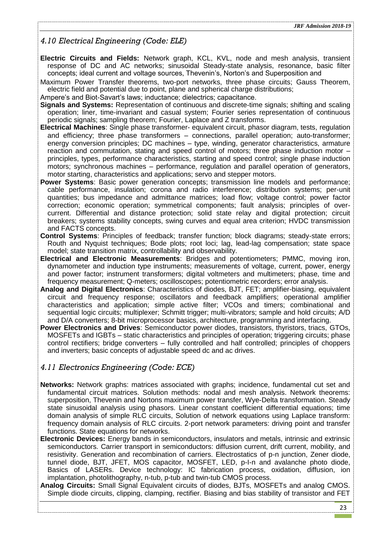## <span id="page-22-0"></span>*4.10 Electrical Engineering (Code: ELE)*

- **Electric Circuits and Fields:** Network graph, KCL, KVL, node and mesh analysis, transient response of DC and AC networks; sinusoidal Steady-state analysis, resonance, basic filter concepts; ideal current and voltage sources, Thevenin's, Norton's and Superposition and
- Maximum Power Transfer theorems, two-port networks, three phase circuits; Gauss Theorem, electric field and potential due to point, plane and spherical charge distributions;
- Ampere's and Biot-Savart's laws; inductance; dielectrics; capacitance.
- **Signals and Systems:** Representation of continuous and discrete-time signals; shifting and scaling operation; liner, time-invariant and casual system; Fourier series representation of continuous periodic signals; sampling theorem; Fourier, Laplace and Z transforms.
- **Electrical Machines**: Single phase transformer- equivalent circuit, phasor diagram, tests, regulation and efficiency; three phase transformers – connections, parallel operation; auto-transformer; energy conversion principles; DC machines – type, winding, generator characteristics, armature reaction and commutation, stating and speed control of motors; three phase induction motor – principles, types, performance characteristics, starting and speed control; single phase induction motors; synchronous machines – performance, regulation and parallel operation of generators, motor starting, characteristics and applications; servo and stepper motors.
- **Power Systems**: Basic power generation concepts; transmission line models and performance; cable performance, insulation; corona and radio interference; distribution systems; per-unit quantities; bus impedance and admittance matrices; load flow; voltage control; power factor correction; economic operation; symmetrical components; fault analysis; principles of overcurrent. Differential and distance protection; solid state relay and digital protection; circuit breakers; systems stability concepts, swing curves and equal area criterion; HVDC transmission and FACTS concepts.
- **Control Systems**: Principles of feedback; transfer function; block diagrams; steady-state errors; Routh and Nyquist techniques; Bode plots; root loci; lag, lead-lag compensation; state space model; state transition matrix, controllability and observability.
- **Electrical and Electronic Measurements**: Bridges and potentiometers; PMMC, moving iron, dynamometer and induction type instruments; measurements of voltage, current, power, energy and power factor; instrument transformers; digital voltmeters and multimeters; phase, time and frequency measurement; Q-meters; oscilloscopes; potentiometric recorders; error analysis.
- **Analog and Digital Electronics**: Characteristics of diodes, BJT, FET; amplifier-biasing, equivalent circuit and frequency response; oscillators and feedback amplifiers; operational amplifier characteristics and application; simple active filter; VCOs and timers; combinational and sequential logic circuits; multiplexer; Schmitt trigger; multi-vibrators; sample and hold circuits; A/D and D/A converters; 8-bit microprocessor basics, architecture, programming and interfacing.
- **Power Electronics and Drives**: Semiconductor power diodes, transistors, thyristors, triacs, GTOs, MOSFETs and IGBTs – static characteristics and principles of operation; triggering circuits; phase control rectifiers; bridge converters – fully controlled and half controlled; principles of choppers and inverters; basic concepts of adjustable speed dc and ac drives.

### <span id="page-22-1"></span>*4.11 Electronics Engineering (Code: ECE)*

- **Networks:** Network graphs: matrices associated with graphs; incidence, fundamental cut set and fundamental circuit matrices. Solution methods: nodal and mesh analysis. Network theorems: superposition, Thevenin and Nortons maximum power transfer, Wye-Delta transformation. Steady state sinusoidal analysis using phasors. Linear constant coefficient differential equations; time domain analysis of simple RLC circuits, Solution of network equations using Laplace transform: frequency domain analysis of RLC circuits. 2-port network parameters: driving point and transfer functions. State equations for networks.
- **Electronic Devices:** Energy bands in semiconductors, insulators and metals, intrinsic and extrinsic semiconductors. Carrier transport in semiconductors: diffusion current, drift current, mobility, and resistivity. Generation and recombination of carriers. Electrostatics of p-n junction, Zener diode, tunnel diode, BJT, JFET, MOS capacitor, MOSFET, LED, p-I-n and avalanche photo diode, Basics of LASERs. Device technology: IC fabrication process, oxidation, diffusion, ion implantation, photolithography, n-tub, p-tub and twin-tub CMOS process.
- **Analog Circuits:** Small Signal Equivalent circuits of diodes, BJTs, MOSFETs and analog CMOS. Simple diode circuits, clipping, clamping, rectifier. Biasing and bias stability of transistor and FET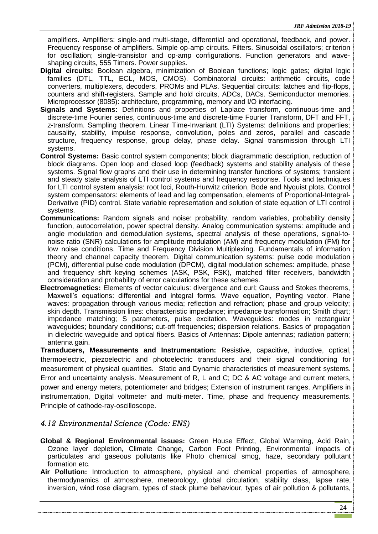amplifiers. Amplifiers: single-and multi-stage, differential and operational, feedback, and power. Frequency response of amplifiers. Simple op-amp circuits. Filters. Sinusoidal oscillators; criterion for oscillation; single-transistor and op-amp configurations. Function generators and waveshaping circuits, 555 Timers. Power supplies.

- **Digital circuits:** Boolean algebra, minimization of Boolean functions; logic gates; digital logic families (DTL, TTL, ECL, MOS, CMOS). Combinatorial circuits: arithmetic circuits, code converters, multiplexers, decoders, PROMs and PLAs. Sequential circuits: latches and flip-flops, counters and shift-registers. Sample and hold circuits, ADCs, DACs. Semiconductor memories. Microprocessor (8085): architecture, programming, memory and I/O interfacing.
- **Signals and Systems:** Definitions and properties of Laplace transform, continuous-time and discrete-time Fourier series, continuous-time and discrete-time Fourier Transform, DFT and FFT, z-transform. Sampling theorem. Linear Time-Invariant (LTI) Systems: definitions and properties; causality, stability, impulse response, convolution, poles and zeros, parallel and cascade structure, frequency response, group delay, phase delay. Signal transmission through LTI systems.
- **Control Systems:** Basic control system components; block diagrammatic description, reduction of block diagrams. Open loop and closed loop (feedback) systems and stability analysis of these systems. Signal flow graphs and their use in determining transfer functions of systems; transient and steady state analysis of LTI control systems and frequency response. Tools and techniques for LTI control system analysis: root loci, Routh-Hurwitz criterion, Bode and Nyquist plots. Control system compensators: elements of lead and lag compensation, elements of Proportional-Integral-Derivative (PID) control. State variable representation and solution of state equation of LTI control systems.
- **Communications:** Random signals and noise: probability, random variables, probability density function, autocorrelation, power spectral density. Analog communication systems: amplitude and angle modulation and demodulation systems, spectral analysis of these operations, signal-tonoise ratio (SNR) calculations for amplitude modulation (AM) and frequency modulation (FM) for low noise conditions. Time and Frequency Division Multiplexing. Fundamentals of information theory and channel capacity theorem. Digital communication systems: pulse code modulation (PCM), differential pulse code modulation (DPCM), digital modulation schemes: amplitude, phase and frequency shift keying schemes (ASK, PSK, FSK), matched filter receivers, bandwidth consideration and probability of error calculations for these schemes.
- **Electromagnetics:** Elements of vector calculus: divergence and curl; Gauss and Stokes theorems, Maxwell's equations: differential and integral forms. Wave equation, Poynting vector. Plane waves: propagation through various media; reflection and refraction; phase and group velocity; skin depth. Transmission lines: characteristic impedance; impedance transformation; Smith chart; impedance matching; S parameters, pulse excitation. Waveguides: modes in rectangular waveguides; boundary conditions; cut-off frequencies; dispersion relations. Basics of propagation in dielectric waveguide and optical fibers. Basics of Antennas: Dipole antennas; radiation pattern; antenna gain.

**Transducers, Measurements and Instrumentation:** Resistive, capacitive, inductive, optical, thermoelectric, piezoelectric and photoelectric transducers and their signal conditioning for measurement of physical quantities. Static and Dynamic characteristics of measurement systems. Error and uncertainty analysis. Measurement of R, L and C; DC & AC voltage and current meters, power and energy meters, potentiometer and bridges; Extension of instrument ranges. Amplifiers in instrumentation, Digital voltmeter and multi-meter. Time, phase and frequency measurements. Principle of cathode-ray-oscilloscope.

### <span id="page-23-0"></span>*4.12 Environmental Science (Code: ENS)*

- **Global & Regional Environmental issues:** Green House Effect, Global Warming, Acid Rain, Ozone layer depletion, Climate Change, Carbon Foot Printing, Environmental impacts of particulates and gaseous pollutants like Photo chemical smog, haze, secondary pollutant formation etc.
- **Air Pollution:** Introduction to atmosphere, physical and chemical properties of atmosphere, thermodynamics of atmosphere, meteorology, global circulation, stability class, lapse rate, inversion, wind rose diagram, types of stack plume behaviour, types of air pollution & pollutants,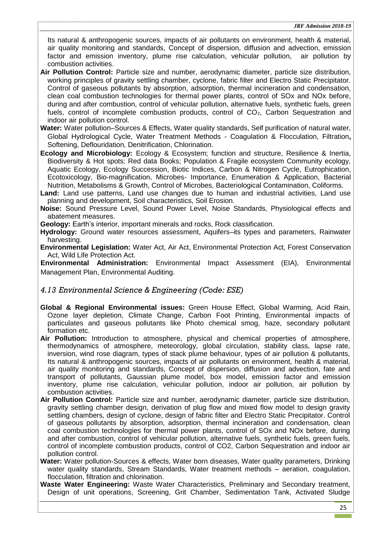Its natural & anthropogenic sources, impacts of air pollutants on environment, health & material, air quality monitoring and standards, Concept of dispersion, diffusion and advection, emission factor and emission inventory, plume rise calculation, vehicular pollution, air pollution by combustion activities.

- **Air Pollution Control:** Particle size and number, aerodynamic diameter, particle size distribution, working principles of gravity settling chamber, cyclone, fabric filter and Electro Static Precipitator. Control of gaseous pollutants by absorption, adsorption, thermal incineration and condensation, clean coal combustion technologies for thermal power plants, control of SOx and NOx before, during and after combustion, control of vehicular pollution, alternative fuels, synthetic fuels, green fuels, control of incomplete combustion products, control of  $CO<sub>2</sub>$ , Carbon Sequestration and indoor air pollution control.
- **Water:** Water pollution–Sources & Effects, Water quality standards, Self purification of natural water, Global Hydrological Cycle, Water Treatment Methods - Coagulation & Flocculation, Filtration**,** Softening, Deflouridation, Denitrification, Chlorination.
- **Ecology and Microbiology:** Ecology & Ecosystem; function and structure, Resilience & Inertia, Biodiversity & Hot spots; Red data Books; Population & Fragile ecosystem Community ecology, Aquatic Ecology, Ecology Succession, Biotic Indices, Carbon & Nitrogen Cycle, Eutrophication, Ecotoxicology, Bio-magnification, Microbes- Importance, Enumeration & Application, Bacterial Nutrition, Metabolisms & Growth, Control of Microbes, Bacteriological Contamination, Coliforms.
- **Land:** Land use patterns, Land use changes due to human and industrial activities, Land use planning and development, Soil characteristics, Soil Erosion.
- **Noise:** Sound Pressure Level, Sound Power Level, Noise Standards, Physiological effects and abatement measures.

**Geology:** Earth's interior, important minerals and rocks, Rock classification.

- **Hydrology:** Ground water resources assessment, Aquifers–its types and parameters, Rainwater harvesting.
- **Environmental Legislation:** Water Act, Air Act, Environmental Protection Act, Forest Conservation Act, Wild Life Protection Act.

**Environmental Administration:** Environmental Impact Assessment (EIA), Environmental Management Plan, Environmental Auditing.

#### <span id="page-24-0"></span>*4.13 Environmental Science & Engineering (Code: ESE)*

- **Global & Regional Environmental issues:** Green House Effect, Global Warming, Acid Rain, Ozone layer depletion, Climate Change, Carbon Foot Printing, Environmental impacts of particulates and gaseous pollutants like Photo chemical smog, haze, secondary pollutant formation etc.
- **Air Pollution:** Introduction to atmosphere, physical and chemical properties of atmosphere, thermodynamics of atmosphere, meteorology, global circulation, stability class, lapse rate, inversion, wind rose diagram, types of stack plume behaviour, types of air pollution & pollutants, Its natural & anthropogenic sources, impacts of air pollutants on environment, health & material, air quality monitoring and standards, Concept of dispersion, diffusion and advection, fate and transport of pollutants, Gaussian plume model, box model, emission factor and emission inventory, plume rise calculation, vehicular pollution, indoor air pollution, air pollution by combustion activities.
- **Air Pollution Control:** Particle size and number, aerodynamic diameter, particle size distribution, gravity settling chamber design, derivation of plug flow and mixed flow model to design gravity settling chambers, design of cyclone, design of fabric filter and Electro Static Precipitator. Control of gaseous pollutants by absorption, adsorption, thermal incineration and condensation, clean coal combustion technologies for thermal power plants, control of SOx and NOx before, during and after combustion, control of vehicular pollution, alternative fuels, synthetic fuels, green fuels, control of incomplete combustion products, control of CO2, Carbon Sequestration and indoor air pollution control.
- **Water:** Water pollution-Sources & effects, Water born diseases, Water quality parameters, Drinking water quality standards, Stream Standards, Water treatment methods – aeration, coagulation, flocculation, filtration and chlorination.
- **Waste Water Engineering:** Waste Water Characteristics, Preliminary and Secondary treatment, Design of unit operations, Screening, Grit Chamber, Sedimentation Tank, Activated Sludge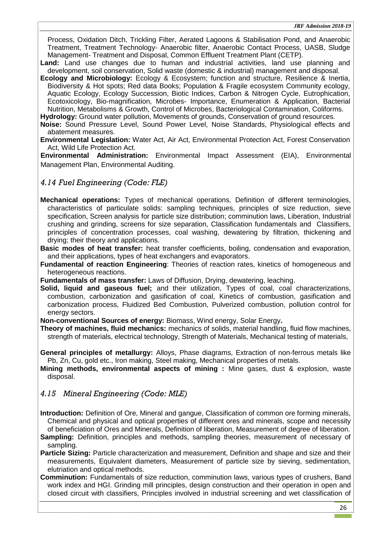Process, Oxidation Ditch, Trickling Filter, Aerated Lagoons & Stabilisation Pond, and Anaerobic Treatment, Treatment Technology- Anaerobic filter, Anaerobic Contact Process, UASB, Sludge Management- Treatment and Disposal, Common Effluent Treatment Plant (CETP).

- **Land:** Land use changes due to human and industrial activities, land use planning and development, soil conservation, Solid waste (domestic & industrial) management and disposal.
- **Ecology and Microbiology:** Ecology & Ecosystem; function and structure, Resilience & Inertia, Biodiversity & Hot spots; Red data Books; Population & Fragile ecosystem Community ecology, Aquatic Ecology, Ecology Succession, Biotic Indices, Carbon & Nitrogen Cycle, Eutrophication, Ecotoxicology, Bio-magnification, Microbes- Importance, Enumeration & Application, Bacterial Nutrition, Metabolisms & Growth, Control of Microbes, Bacteriological Contamination, Coliforms.

**Hydrology:** Ground water pollution, Movements of grounds, Conservation of ground resources.

- **Noise:** Sound Pressure Level, Sound Power Level, Noise Standards, Physiological effects and abatement measures.
- **Environmental Legislation:** Water Act, Air Act, Environmental Protection Act, Forest Conservation Act, Wild Life Protection Act.

**Environmental Administration:** Environmental Impact Assessment (EIA), Environmental Management Plan, Environmental Auditing.

### <span id="page-25-0"></span>*4.14 Fuel Engineering (Code: FLE)*

- **Mechanical operations:** Types of mechanical operations, Definition of different terminologies, characteristics of particulate solids: sampling techniques, principles of size reduction, sieve specification, Screen analysis for particle size distribution; comminution laws, Liberation, Industrial crushing and grinding, screens for size separation, Classification fundamentals and Classifiers, principles of concentration processes, coal washing, dewatering by filtration, thickening and drying; their theory and applications.
- **Basic modes of heat transfer:** heat transfer coefficients, boiling, condensation and evaporation, and their applications, types of heat exchangers and evaporators.
- **Fundamental of reaction Engineering**: Theories of reaction rates, kinetics of homogeneous and heterogeneous reactions.

**Fundamentals of mass transfer:** Laws of Diffusion, Drying, dewatering, leaching.

**Solid, liquid and gaseous fuel;** and their utilization, Types of coal, coal characterizations, combustion, carbonization and gasification of coal, Kinetics of combustion, gasification and carbonization process, Fluidized Bed Combustion, Pulverized combustion, pollution control for energy sectors.

**Non-conventional Sources of energy:** Biomass, Wind energy, Solar Energy**.**

**Theory of machines, fluid mechanics:** mechanics of solids, material handling, fluid flow machines, strength of materials, electrical technology, Strength of Materials, Mechanical testing of materials,

**General principles of metallurgy:** Alloys, Phase diagrams, Extraction of non-ferrous metals like Pb, Zn, Cu, gold etc., Iron making, Steel making, Mechanical properties of metals.

**Mining methods, environmental aspects of mining :** Mine gases, dust & explosion, waste disposal.

### <span id="page-25-1"></span>*4.15 Mineral Engineering (Code: MLE)*

**Introduction:** Definition of Ore, Mineral and gangue, Classification of common ore forming minerals, Chemical and physical and optical properties of different ores and minerals, scope and necessity of beneficiation of Ores and Minerals, Definition of liberation, Measurement of degree of liberation.

- **Sampling:** Definition, principles and methods, sampling theories, measurement of necessary of sampling.
- **Particle Sizing:** Particle characterization and measurement, Definition and shape and size and their measurements, Equivalent diameters, Measurement of particle size by sieving, sedimentation, elutriation and optical methods.
- **Comminution:** Fundamentals of size reduction, comminution laws, various types of crushers, Band work index and HGI. Grinding mill principles, design construction and their operation in open and closed circuit with classifiers, Principles involved in industrial screening and wet classification of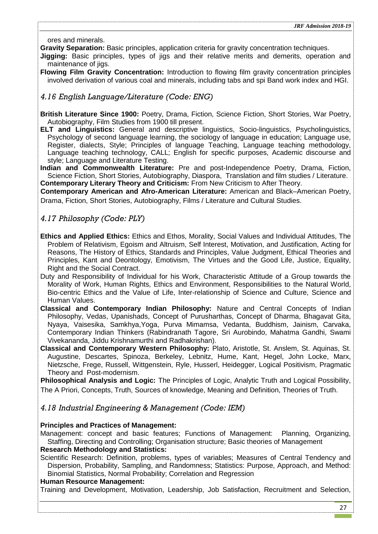ores and minerals.

**Gravity Separation:** Basic principles, application criteria for gravity concentration techniques.

**Jigging:** Basic principles, types of jigs and their relative merits and demerits, operation and maintenance of jigs.

**Flowing Film Gravity Concentration:** Introduction to flowing film gravity concentration principles involved derivation of various coal and minerals, including tabs and spi Band work index and HGI.

### <span id="page-26-0"></span>*4.16 English Language/Literature (Code: ENG)*

**British Literature Since 1900:** Poetry, Drama, Fiction, Science Fiction, Short Stories, War Poetry, Autobiography, Film Studies from 1900 till present.

**ELT and Linguistics:** General and descriptive linguistics, Socio-linguistics, Psycholinguistics, Psychology of second language learning, the sociology of language in education; Language use, Register, dialects, Style; Principles of language Teaching, Language teaching methodology, Language teaching technology, CALL; English for specific purposes, Academic discourse and style; Language and Literature Testing.

**Indian and Commonwealth Literature:** Pre and post-Independence Poetry, Drama, Fiction, Science Fiction, Short Stories, Autobiography, Diaspora, Translation and film studies / Literature. **Contemporary Literary Theory and Criticism:** From New Criticism to After Theory.

**Contemporary American and Afro-American Literature:** American and Black–American Poetry, Drama, Fiction, Short Stories, Autobiography, Films / Literature and Cultural Studies.

### <span id="page-26-1"></span>*4.17 Philosophy (Code: PLY)*

- **Ethics and Applied Ethics:** Ethics and Ethos, Morality, Social Values and Individual Attitudes, The Problem of Relativism, Egoism and Altruism, Self Interest, Motivation, and Justification, Acting for Reasons, The History of Ethics, Standards and Principles, Value Judgment, Ethical Theories and Principles, Kant and Deontology, Emotivism, The Virtues and the Good Life, Justice, Equality, Right and the Social Contract.
- Duty and Responsibility of Individual for his Work, Characteristic Attitude of a Group towards the Morality of Work, Human Rights, Ethics and Environment, Responsibilities to the Natural World, Bio-centric Ethics and the Value of Life, Inter-relationship of Science and Culture, Science and Human Values.
- **Classical and Contemporary Indian Philosophy:** Nature and Central Concepts of Indian Philosophy, Vedas, Upanishads, Concept of Purusharthas, Concept of Dharma, Bhagavat Gita, Nyaya, Vaisesika, Samkhya,Yoga, Purva Mimamsa, Vedanta, Buddhism, Jainism, Carvaka, Contemporary Indian Thinkers (Rabindranath Tagore, Sri Aurobindo, Mahatma Gandhi, Swami Vivekananda, Jiddu Krishnamurthi and Radhakrishan).
- **Classical and Contemporary Western Philosophy:** Plato, Aristotle, St. Anslem, St. Aquinas, St. Augustine, Descartes, Spinoza, Berkeley, Lebnitz, Hume, Kant, Hegel, John Locke, Marx, Nietzsche, Frege, Russell, Wittgenstein, Ryle, Husserl, Heidegger, Logical Positivism, Pragmatic Theory and Post-modernism.

**Philosophical Analysis and Logic:** The Principles of Logic, Analytic Truth and Logical Possibility, The A Priori, Concepts, Truth, Sources of knowledge, Meaning and Definition, Theories of Truth.

#### <span id="page-26-2"></span>*4.18 Industrial Engineering & Management (Code: IEM)*

#### **Principles and Practices of Management:**

Management: concept and basic features; Functions of Management: Planning, Organizing, Staffing, Directing and Controlling; Organisation structure; Basic theories of Management

#### **Research Methodology and Statistics:**

Scientific Research: Definition, problems, types of variables; Measures of Central Tendency and Dispersion, Probability, Sampling, and Randomness; Statistics: Purpose, Approach, and Method: Binomial Statistics, Normal Probability; Correlation and Regression

#### **Human Resource Management:**

Training and Development, Motivation, Leadership, Job Satisfaction, Recruitment and Selection,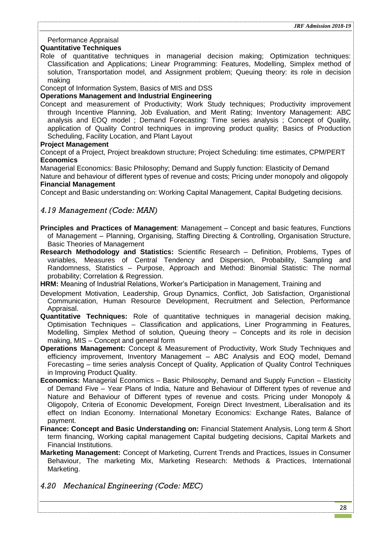### Performance Appraisal

### **Quantitative Techniques**

Role of quantitative techniques in managerial decision making; Optimization techniques: Classification and Applications; Linear Programming: Features, Modelling, Simplex method of solution, Transportation model, and Assignment problem; Queuing theory: its role in decision making

Concept of Information System, Basics of MIS and DSS

#### **Operations Management and Industrial Engineering**

Concept and measurement of Productivity; Work Study techniques; Productivity improvement through Incentive Planning, Job Evaluation, and Merit Rating; Inventory Management: ABC analysis and EOQ model ; Demand Forecasting: Time series analysis ; Concept of Quality, application of Quality Control techniques in improving product quality; Basics of Production Scheduling, Facility Location, and Plant Layout

#### **Project Management**

Concept of a Project, Project breakdown structure; Project Scheduling: time estimates, CPM/PERT **Economics** 

Managerial Economics: Basic Philosophy; Demand and Supply function: Elasticity of Demand

Nature and behaviour of different types of revenue and costs; Pricing under monopoly and oligopoly **Financial Management** 

Concept and Basic understanding on: Working Capital Management, Capital Budgeting decisions.

## <span id="page-27-0"></span>*4.19 Management (Code: MAN)*

- **Principles and Practices of Management**: Management Concept and basic features, Functions of Management – Planning, Organising, Staffing Directing & Controlling, Organisation Structure, Basic Theories of Management
- **Research Methodology and Statistics:** Scientific Research Definition, Problems, Types of variables, Measures of Central Tendency and Dispersion, Probability, Sampling and Randomness, Statistics – Purpose, Approach and Method: Binomial Statistic: The normal probability; Correlation & Regression.

**HRM:** Meaning of Industrial Relations, Worker's Participation in Management, Training and

- Development Motivation, Leadership, Group Dynamics, Conflict, Job Satisfaction, Organistional Communication, Human Resource Development, Recruitment and Selection, Performance Appraisal.
- **Quantitative Techniques:** Role of quantitative techniques in managerial decision making, Optimisation Techniques – Classification and applications, Liner Programming in Features, Modelling, Simplex Method of solution, Queuing theory – Concepts and its role in decision making, MIS – Concept and general form
- **Operations Management:** Concept & Measurement of Productivity, Work Study Techniques and efficiency improvement, Inventory Management – ABC Analysis and EOQ model, Demand Forecasting – time series analysis Concept of Quality, Application of Quality Control Techniques in Improving Product Quality.
- **Economics:** Managerial Economics Basic Philosophy, Demand and Supply Function Elasticity of Demand Five – Year Plans of India, Nature and Behaviour of Different types of revenue and Nature and Behaviour of Different types of revenue and costs. Pricing under Monopoly & Oligopoly, Criteria of Economic Development, Foreign Direct Investment, Liberalisation and its effect on Indian Economy. International Monetary Economics: Exchange Rates, Balance of payment.
- **Finance: Concept and Basic Understanding on:** Financial Statement Analysis, Long term & Short term financing, Working capital management Capital budgeting decisions, Capital Markets and Financial Institutions.
- **Marketing Management:** Concept of Marketing, Current Trends and Practices, Issues in Consumer Behaviour, The marketing Mix, Marketing Research: Methods & Practices, International Marketing.
- <span id="page-27-1"></span>*4.20 Mechanical Engineering (Code: MEC)*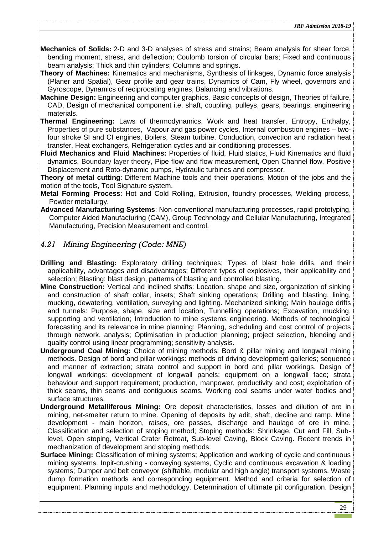- **Mechanics of Solids:** 2-D and 3-D analyses of stress and strains; Beam analysis for shear force, bending moment, stress, and deflection; Coulomb torsion of circular bars; Fixed and continuous beam analysis; Thick and thin cylinders; Columns and springs.
- **Theory of Machines:** Kinematics and mechanisms, Synthesis of linkages, Dynamic force analysis (Planer and Spatial), Gear profile and gear trains, Dynamics of Cam, Fly wheel, governors and Gyroscope, Dynamics of reciprocating engines, Balancing and vibrations.
- **Machine Design:** Engineering and computer graphics, Basic concepts of design, Theories of failure, CAD, Design of mechanical component i.e. shaft, coupling, pulleys, gears, bearings, engineering materials.
- **Thermal Engineering:** Laws of thermodynamics, Work and heat transfer, Entropy, Enthalpy, Properties of pure substances, Vapour and gas power cycles, Internal combustion engines – twofour stroke SI and CI engines, Boilers, Steam turbine, Conduction, convection and radiation heat transfer, Heat exchangers, Refrigeration cycles and air conditioning processes.
- **Fluid Mechanics and Fluid Machines:** Properties of fluid, Fluid statics, Fluid Kinematics and fluid dynamics, Boundary layer theory, Pipe flow and flow measurement, Open Channel flow, Positive Displacement and Roto-dynamic pumps, Hydraulic turbines and compressor.

**Theory of metal cutting**: Different Machine tools and their operations, Motion of the jobs and the motion of the tools, Tool Signature system.

- **Metal Forming Process**: Hot and Cold Rolling, Extrusion, foundry processes, Welding process, Powder metallurgy.
- **Advanced Manufacturing Systems**: Non-conventional manufacturing processes, rapid prototyping, Computer Aided Manufacturing (CAM), Group Technology and Cellular Manufacturing, Integrated Manufacturing, Precision Measurement and control.

## <span id="page-28-0"></span>*4.21 Mining Engineering (Code: MNE)*

- **Drilling and Blasting:** Exploratory drilling techniques; Types of blast hole drills, and their applicability, advantages and disadvantages; Different types of explosives, their applicability and selection; Blasting: blast design, patterns of blasting and controlled blasting.
- **Mine Construction:** Vertical and inclined shafts: Location, shape and size, organization of sinking and construction of shaft collar, insets; Shaft sinking operations; Drilling and blasting, lining, mucking, dewatering, ventilation, surveying and lighting. Mechanized sinking; Main haulage drifts and tunnels: Purpose, shape, size and location, Tunnelling operations; Excavation, mucking, supporting and ventilation; Introduction to mine systems engineering. Methods of technological forecasting and its relevance in mine planning; Planning, scheduling and cost control of projects through network, analysis; Optimisation in production planning; project selection, blending and quality control using linear programming; sensitivity analysis.
- **Underground Coal Mining:** Choice of mining methods: Bord & pillar mining and longwall mining methods. Design of bord and pillar workings: methods of driving development galleries; sequence and manner of extraction; strata control and support in bord and pillar workings. Design of longwall workings: development of longwall panels; equipment on a longwall face; strata behaviour and support requirement; production, manpower, productivity and cost; exploitation of thick seams, thin seams and contiguous seams. Working coal seams under water bodies and surface structures.
- **Underground Metalliferous Mining:** Ore deposit characteristics, losses and dilution of ore in mining, net-smelter return to mine. Opening of deposits by adit, shaft, decline and ramp. Mine development - main horizon, raises, ore passes, discharge and haulage of ore in mine. Classification and selection of stoping method; Stoping methods: Shrinkage, Cut and Fill, Sublevel, Open stoping, Vertical Crater Retreat, Sub-level Caving, Block Caving. Recent trends in mechanization of development and stoping methods.
- **Surface Mining:** Classification of mining systems; Application and working of cyclic and continuous mining systems. Inpit-crushing - conveying systems, Cyclic and continuous excavation & loading systems; Dumper and belt conveyor (shiftable, modular and high angle) transport systems. Waste dump formation methods and corresponding equipment. Method and criteria for selection of equipment. Planning inputs and methodology. Determination of ultimate pit configuration. Design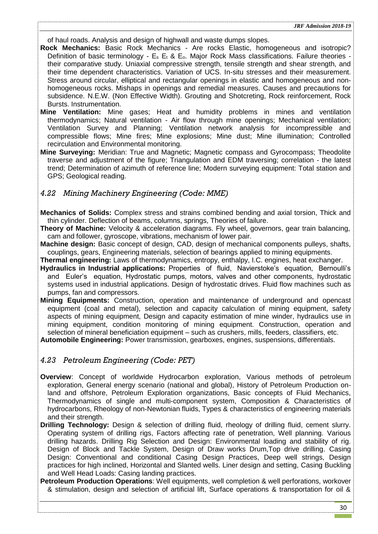of haul roads. Analysis and design of highwall and waste dumps slopes.

- **Rock Mechanics:** Basic Rock Mechanics Are rocks Elastic, homogeneous and isotropic? Definition of basic terminology -  $E_s$   $E_t$  &  $E_o$ . Major Rock Mass classifications. Failure theories their comparative study. Uniaxial compressive strength, tensile strength and shear strength, and their time dependent characteristics. Variation of UCS. In-situ stresses and their measurement. Stress around circular, elliptical and rectangular openings in elastic and homogeneous and nonhomogeneous rocks. Mishaps in openings and remedial measures. Causes and precautions for subsidence. N.E.W. (Non Effective Width). Grouting and Shotcreting, Rock reinforcement, Rock Bursts. Instrumentation.
- **Mine Ventilation:** Mine gases; Heat and humidity problems in mines and ventilation thermodynamics; Natural ventilation - Air flow through mine openings; Mechanical ventilation; Ventilation Survey and Planning; Ventilation network analysis for incompressible and compressible flows; Mine fires; Mine explosions; Mine dust; Mine illumination; Controlled recirculation and Environmental monitoring.
- **Mine Surveying:** Meridian: True and Magnetic; Magnetic compass and Gyrocompass; Theodolite traverse and adjustment of the figure; Triangulation and EDM traversing; correlation - the latest trend; Determination of azimuth of reference line; Modern surveying equipment: Total station and GPS; Geological reading.

### <span id="page-29-0"></span>*4.22 Mining Machinery Engineering (Code: MME)*

- **Mechanics of Solids:** Complex stress and strains combined bending and axial torsion, Thick and thin cylinder. Deflection of beams, columns, springs, Theories of failure.
- **Theory of Machine:** Velocity & acceleration diagrams. Fly wheel, governors, gear train balancing, cam and follower, gyroscope, vibrations, mechanism of lower pair.
- **Machine design:** Basic concept of design, CAD, design of mechanical components pulleys, shafts, couplings, gears, Engineering materials, selection of bearings applied to mining equipments.
- **Thermal engineering:** Laws of thermodynamics, entropy, enthalpy, I.C. engines, heat exchanger.
- **Hydraulics in Industrial applications:** Properties of fluid, Navierstoke's equation, Bernoulli's and Euler's equation, Hydrostatic pumps, motors, valves and other components, hydrostatic systems used in industrial applications. Design of hydrostatic drives. Fluid flow machines such as pumps, fan and compressors.
- **Mining Equipments:** Construction, operation and maintenance of underground and opencast equipment (coal and metal), selection and capacity calculation of mining equipment, safety aspects of mining equipment. Design and capacity estimation of mine winder, hydraulics use in mining equipment, condition monitoring of mining equipment. Construction, operation and selection of mineral beneficiation equipment – such as crushers, mills, feeders, classifiers, etc.
- **Automobile Engineering:** Power transmission, gearboxes, engines, suspensions, differentials.

### <span id="page-29-1"></span>*4.23 Petroleum Engineering (Code: PET)*

- **Overview**: Concept of worldwide Hydrocarbon exploration, Various methods of petroleum exploration, General energy scenario (national and global), History of Petroleum Production onland and offshore, Petroleum Exploration organizations, Basic concepts of Fluid Mechanics, Thermodynamics of single and multi-component system, Composition & Characteristics of hydrocarbons, Rheology of non-Newtonian fluids, Types & characteristics of engineering materials and their strength.
- **Drilling Technology:** Design & selection of drilling fluid, rheology of drilling fluid, cement slurry. Operating system of drilling rigs, Factors affecting rate of penetration, Well planning. Various drilling hazards. Drilling Rig Selection and Design: Environmental loading and stability of rig. Design of Block and Tackle System, Design of Draw works Drum,Top drive drilling. Casing Design: Conventional and conditional Casing Design Practices, Deep well strings, Design practices for high inclined, Horizontal and Slanted wells. Liner design and setting, Casing Buckling and Well Head Loads: Casing landing practices.
- **Petroleum Production Operations**: Well equipments, well completion & well perforations, workover & stimulation, design and selection of artificial lift, Surface operations & transportation for oil &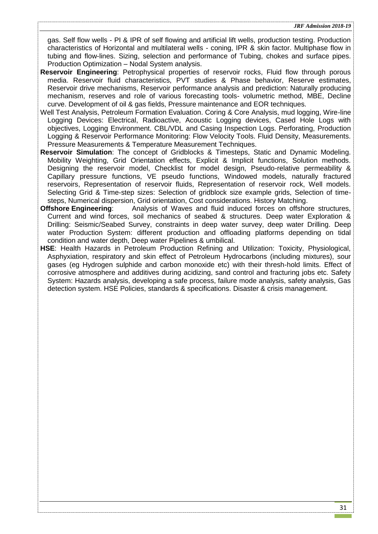gas. Self flow wells - PI & IPR of self flowing and artificial lift wells, production testing. Production characteristics of Horizontal and multilateral wells - coning, IPR & skin factor. Multiphase flow in tubing and flow-lines. Sizing, selection and performance of Tubing, chokes and surface pipes. Production Optimization – Nodal System analysis.

- **Reservoir Engineering**: Petrophysical properties of reservoir rocks, Fluid flow through porous media. Reservoir fluid characteristics, PVT studies & Phase behavior, Reserve estimates, Reservoir drive mechanisms, Reservoir performance analysis and prediction: Naturally producing mechanism, reserves and role of various forecasting tools- volumetric method, MBE, Decline curve. Development of oil & gas fields, Pressure maintenance and EOR techniques.
- Well Test Analysis, Petroleum Formation Evaluation. Coring & Core Analysis, mud logging, Wire-line Logging Devices: Electrical, Radioactive, Acoustic Logging devices, Cased Hole Logs with objectives, Logging Environment. CBL/VDL and Casing Inspection Logs. Perforating, Production Logging & Reservoir Performance Monitoring: Flow Velocity Tools. Fluid Density, Measurements. Pressure Measurements & Temperature Measurement Techniques.
- **Reservoir Simulation**: The concept of Gridblocks & Timesteps, Static and Dynamic Modeling. Mobility Weighting, Grid Orientation effects, Explicit & Implicit functions, Solution methods. Designing the reservoir model, Checklist for model design, Pseudo-relative permeability & Capillary pressure functions, VE pseudo functions, Windowed models, naturally fractured reservoirs, Representation of reservoir fluids, Representation of reservoir rock, Well models. Selecting Grid & Time-step sizes: Selection of gridblock size example grids, Selection of timesteps, Numerical dispersion, Grid orientation, Cost considerations. History Matching.
- **Offshore Engineering**: Analysis of Waves and fluid induced forces on offshore structures, Current and wind forces, soil mechanics of seabed & structures. Deep water Exploration & Drilling: Seismic/Seabed Survey, constraints in deep water survey, deep water Drilling. Deep water Production System: different production and offloading platforms depending on tidal condition and water depth, Deep water Pipelines & umbilical.
- **HSE**: Health Hazards in Petroleum Production Refining and Utilization: Toxicity, Physiological, Asphyxiation, respiratory and skin effect of Petroleum Hydrocarbons (including mixtures), sour gases (eg Hydrogen sulphide and carbon monoxide etc) with their thresh-hold limits. Effect of corrosive atmosphere and additives during acidizing, sand control and fracturing jobs etc. Safety System: Hazards analysis, developing a safe process, failure mode analysis, safety analysis, Gas detection system. HSE Policies, standards & specifications. Disaster & crisis management.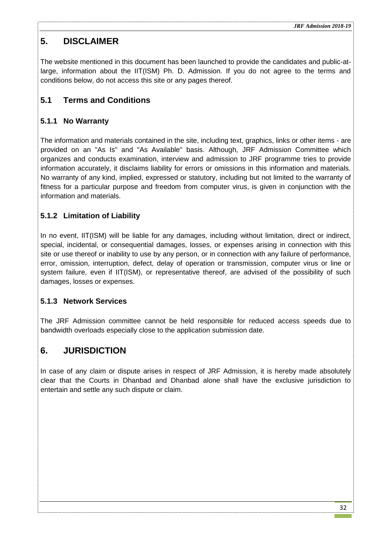## <span id="page-31-0"></span>**5. DISCLAIMER**

The website mentioned in this document has been launched to provide the candidates and public-atlarge, information about the IIT(ISM) Ph. D. Admission. If you do not agree to the terms and conditions below, do not access this site or any pages thereof.

## <span id="page-31-1"></span>**5.1 Terms and Conditions**

## <span id="page-31-2"></span>**5.1.1 No Warranty**

The information and materials contained in the site, including text, graphics, links or other items - are provided on an "As Is" and "As Available" basis. Although, JRF Admission Committee which organizes and conducts examination, interview and admission to JRF programme tries to provide information accurately, it disclaims liability for errors or omissions in this information and materials. No warranty of any kind, implied, expressed or statutory, including but not limited to the warranty of fitness for a particular purpose and freedom from computer virus, is given in conjunction with the information and materials.

## <span id="page-31-3"></span>**5.1.2 Limitation of Liability**

In no event, IIT(ISM) will be liable for any damages, including without limitation, direct or indirect, special, incidental, or consequential damages, losses, or expenses arising in connection with this site or use thereof or inability to use by any person, or in connection with any failure of performance, error, omission, interruption, defect, delay of operation or transmission, computer virus or line or system failure, even if IIT(ISM), or representative thereof, are advised of the possibility of such damages, losses or expenses.

## <span id="page-31-4"></span>**5.1.3 Network Services**

The JRF Admission committee cannot be held responsible for reduced access speeds due to bandwidth overloads especially close to the application submission date.

## <span id="page-31-5"></span>**6. JURISDICTION**

In case of any claim or dispute arises in respect of JRF Admission, it is hereby made absolutely clear that the Courts in Dhanbad and Dhanbad alone shall have the exclusive jurisdiction to entertain and settle any such dispute or claim.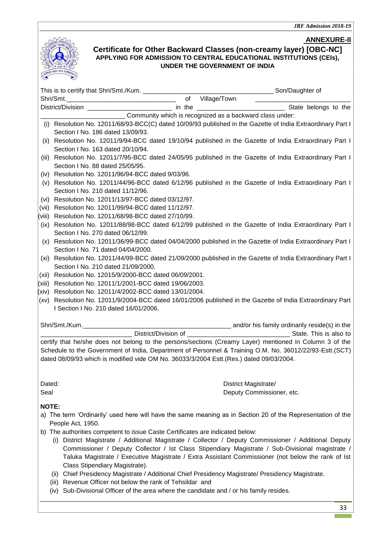<span id="page-32-0"></span>

|                 |                                                                                                                                                                                                                                                                                                                                                                                                                                    | JAI' AUMISSIVII 4V10•17                       |
|-----------------|------------------------------------------------------------------------------------------------------------------------------------------------------------------------------------------------------------------------------------------------------------------------------------------------------------------------------------------------------------------------------------------------------------------------------------|-----------------------------------------------|
|                 | Certificate for Other Backward Classes (non-creamy layer) [OBC-NC]<br>APPLYING FOR ADMISSION TO CENTRAL EDUCATIONAL INSTITUTIONS (CEIs),<br>UNDER THE GOVERNMENT OF INDIA                                                                                                                                                                                                                                                          | <b>ANNEXURE-II</b>                            |
|                 |                                                                                                                                                                                                                                                                                                                                                                                                                                    |                                               |
|                 | Shri/Smt.                                                                                                                                                                                                                                                                                                                                                                                                                          | of Village/Town ______                        |
|                 |                                                                                                                                                                                                                                                                                                                                                                                                                                    |                                               |
|                 | Community which is recognized as a backward class under:                                                                                                                                                                                                                                                                                                                                                                           |                                               |
|                 | (i) Resolution No. 12011/68/93-BCC(C) dated 10/09/93 published in the Gazette of India Extraordinary Part I                                                                                                                                                                                                                                                                                                                        |                                               |
|                 | Section I No. 186 dated 13/09/93.                                                                                                                                                                                                                                                                                                                                                                                                  |                                               |
|                 | (ii) Resolution No. 12011/9/94-BCC dated 19/10/94 published in the Gazette of India Extraordinary Part I                                                                                                                                                                                                                                                                                                                           |                                               |
|                 | Section I No. 163 dated 20/10/94.                                                                                                                                                                                                                                                                                                                                                                                                  |                                               |
|                 | (iii) Resolution No. 12011/7/95-BCC dated 24/05/95 published in the Gazette of India Extraordinary Part I<br>Section I No. 88 dated 25/05/95.                                                                                                                                                                                                                                                                                      |                                               |
|                 | (iv) Resolution No. 12011/96/94-BCC dated 9/03/96.                                                                                                                                                                                                                                                                                                                                                                                 |                                               |
|                 | (v) Resolution No. 12011/44/96-BCC dated 6/12/96 published in the Gazette of India Extraordinary Part I                                                                                                                                                                                                                                                                                                                            |                                               |
|                 | Section I No. 210 dated 11/12/96.                                                                                                                                                                                                                                                                                                                                                                                                  |                                               |
|                 | (vi) Resolution No. 12011/13/97-BCC dated 03/12/97.                                                                                                                                                                                                                                                                                                                                                                                |                                               |
|                 | (vii) Resolution No. 12011/99/94-BCC dated 11/12/97.                                                                                                                                                                                                                                                                                                                                                                               |                                               |
|                 | (viii) Resolution No. 12011/68/98-BCC dated 27/10/99.                                                                                                                                                                                                                                                                                                                                                                              |                                               |
|                 | (ix) Resolution No. 12011/88/98-BCC dated 6/12/99 published in the Gazette of India Extraordinary Part I                                                                                                                                                                                                                                                                                                                           |                                               |
|                 | Section I No. 270 dated 06/12/99.                                                                                                                                                                                                                                                                                                                                                                                                  |                                               |
|                 | (x) Resolution No. 12011/36/99-BCC dated 04/04/2000 published in the Gazette of India Extraordinary Part I                                                                                                                                                                                                                                                                                                                         |                                               |
|                 | Section I No. 71 dated 04/04/2000.                                                                                                                                                                                                                                                                                                                                                                                                 |                                               |
|                 | (xi) Resolution No. 12011/44/99-BCC dated 21/09/2000 published in the Gazette of India Extraordinary Part I                                                                                                                                                                                                                                                                                                                        |                                               |
|                 | Section I No. 210 dated 21/09/2000.                                                                                                                                                                                                                                                                                                                                                                                                |                                               |
|                 | (xii) Resolution No. 12015/9/2000-BCC dated 06/09/2001.<br>Resolution No. 12011/1/2001-BCC dated 19/06/2003.                                                                                                                                                                                                                                                                                                                       |                                               |
| (xiii)<br>(xiv) | Resolution No. 12011/4/2002-BCC dated 13/01/2004.                                                                                                                                                                                                                                                                                                                                                                                  |                                               |
|                 | (xv) Resolution No. 12011/9/2004-BCC dated 16/01/2006 published in the Gazette of India Extraordinary Part                                                                                                                                                                                                                                                                                                                         |                                               |
|                 | I Section I No. 210 dated 16/01/2006.                                                                                                                                                                                                                                                                                                                                                                                              |                                               |
|                 |                                                                                                                                                                                                                                                                                                                                                                                                                                    |                                               |
|                 | Shri/Smt./Kum.                                                                                                                                                                                                                                                                                                                                                                                                                     | and/or his family ordinarily reside(s) in the |
|                 |                                                                                                                                                                                                                                                                                                                                                                                                                                    |                                               |
|                 | certify that he/she does not belong to the persons/sections (Creamy Layer) mentioned in Column 3 of the<br>Schedule to the Government of India, Department of Personnel & Training O.M. No. 36012/22/93-Estt.(SCT)<br>dated 08/09/93 which is modified vide OM No. 36033/3/2004 Estt.(Res.) dated 09/03/2004.                                                                                                                      |                                               |
|                 |                                                                                                                                                                                                                                                                                                                                                                                                                                    |                                               |
|                 |                                                                                                                                                                                                                                                                                                                                                                                                                                    |                                               |
| Dated:          |                                                                                                                                                                                                                                                                                                                                                                                                                                    | District Magistrate/                          |
| Seal            |                                                                                                                                                                                                                                                                                                                                                                                                                                    | Deputy Commissioner, etc.                     |
| <b>NOTE:</b>    |                                                                                                                                                                                                                                                                                                                                                                                                                                    |                                               |
|                 | a) The term 'Ordinarily' used here will have the same meaning as in Section 20 of the Representation of the                                                                                                                                                                                                                                                                                                                        |                                               |
|                 | People Act, 1950.                                                                                                                                                                                                                                                                                                                                                                                                                  |                                               |
|                 | b) The authorities competent to issue Caste Certificates are indicated below:<br>(i) District Magistrate / Additional Magistrate / Collector / Deputy Commissioner / Additional Deputy<br>Commissioner / Deputy Collector / Ist Class Stipendiary Magistrate / Sub-Divisional magistrate /<br>Taluka Magistrate / Executive Magistrate / Extra Assistant Commissioner (not below the rank of Ist<br>Class Stipendiary Magistrate). |                                               |
|                 | (ii) Chief Presidency Magistrate / Additional Chief Presidency Magistrate/ Presidency Magistrate.                                                                                                                                                                                                                                                                                                                                  |                                               |
|                 | (iii) Revenue Officer not below the rank of Tehsildar and                                                                                                                                                                                                                                                                                                                                                                          |                                               |
|                 | (iv) Sub-Divisional Officer of the area where the candidate and / or his family resides.                                                                                                                                                                                                                                                                                                                                           |                                               |

П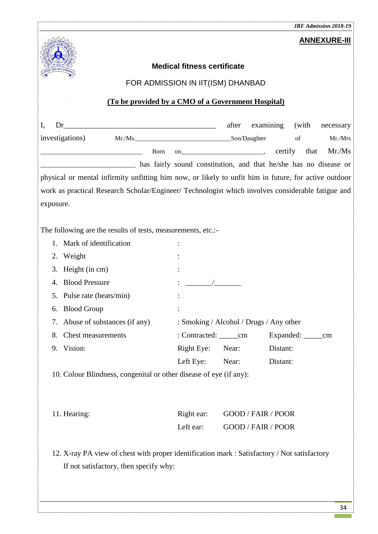<span id="page-33-1"></span><span id="page-33-0"></span>

| <b>JRF Admission 2018-19</b>                                                                         |                                         |       |                           |                      |           |  |  |  |  |  |
|------------------------------------------------------------------------------------------------------|-----------------------------------------|-------|---------------------------|----------------------|-----------|--|--|--|--|--|
| <b>ANNEXURE-III</b>                                                                                  |                                         |       |                           |                      |           |  |  |  |  |  |
| <b>Medical fitness certificate</b>                                                                   |                                         |       |                           |                      |           |  |  |  |  |  |
| FOR ADMISSION IN IIT(ISM) DHANBAD                                                                    |                                         |       |                           |                      |           |  |  |  |  |  |
|                                                                                                      |                                         |       |                           |                      |           |  |  |  |  |  |
| (To be provided by a CMO of a Government Hospital)                                                   |                                         |       |                           |                      |           |  |  |  |  |  |
| I,<br>Dr                                                                                             |                                         | after | examining                 | (with                | necessary |  |  |  |  |  |
| investigations)                                                                                      |                                         |       |                           | of                   | Mr./Mrs   |  |  |  |  |  |
| Born                                                                                                 |                                         |       | certify                   | that                 | Mr. / Ms  |  |  |  |  |  |
| has fairly sound constitution, and that he/she has no disease or                                     |                                         |       |                           |                      |           |  |  |  |  |  |
| physical or mental infirmity unfitting him now, or likely to unfit him in future, for active outdoor |                                         |       |                           |                      |           |  |  |  |  |  |
| work as practical Research Scholar/Engineer/ Technologist which involves considerable fatigue and    |                                         |       |                           |                      |           |  |  |  |  |  |
| exposure.                                                                                            |                                         |       |                           |                      |           |  |  |  |  |  |
|                                                                                                      |                                         |       |                           |                      |           |  |  |  |  |  |
| The following are the results of tests, measurements, etc.:-                                         |                                         |       |                           |                      |           |  |  |  |  |  |
| 1. Mark of identification                                                                            |                                         |       |                           |                      |           |  |  |  |  |  |
| 2.<br>Weight                                                                                         |                                         |       |                           |                      |           |  |  |  |  |  |
| 3.<br>Height (in cm)                                                                                 |                                         |       |                           |                      |           |  |  |  |  |  |
| <b>Blood Pressure</b><br>4.                                                                          |                                         |       |                           |                      |           |  |  |  |  |  |
| Pulse rate (beats/min)<br>5.                                                                         |                                         |       |                           |                      |           |  |  |  |  |  |
| 6. Blood Group                                                                                       |                                         |       |                           |                      |           |  |  |  |  |  |
| Abuse of substances (if any)<br>7.                                                                   | : Smoking / Alcohol / Drugs / Any other |       |                           |                      |           |  |  |  |  |  |
| Chest measurements<br>8.                                                                             | : Contracted: ________ cm               |       |                           | Expanded: _______ cm |           |  |  |  |  |  |
| 9. Vision:                                                                                           | Right Eye: Near:                        |       | Distant:                  |                      |           |  |  |  |  |  |
|                                                                                                      | Left Eye:                               | Near: | Distant:                  |                      |           |  |  |  |  |  |
| 10. Colour Blindness, congenital or other disease of eye (if any):                                   |                                         |       |                           |                      |           |  |  |  |  |  |
|                                                                                                      |                                         |       |                           |                      |           |  |  |  |  |  |
|                                                                                                      |                                         |       |                           |                      |           |  |  |  |  |  |
| 11. Hearing:                                                                                         | Right ear:                              |       | <b>GOOD / FAIR / POOR</b> |                      |           |  |  |  |  |  |
|                                                                                                      | Left ear:                               |       | GOOD / FAIR / POOR        |                      |           |  |  |  |  |  |
|                                                                                                      |                                         |       |                           |                      |           |  |  |  |  |  |
| 12. X-ray PA view of chest with proper identification mark : Satisfactory / Not satisfactory         |                                         |       |                           |                      |           |  |  |  |  |  |
| If not satisfactory, then specify why:                                                               |                                         |       |                           |                      |           |  |  |  |  |  |
|                                                                                                      |                                         |       |                           |                      |           |  |  |  |  |  |
|                                                                                                      |                                         |       |                           |                      |           |  |  |  |  |  |